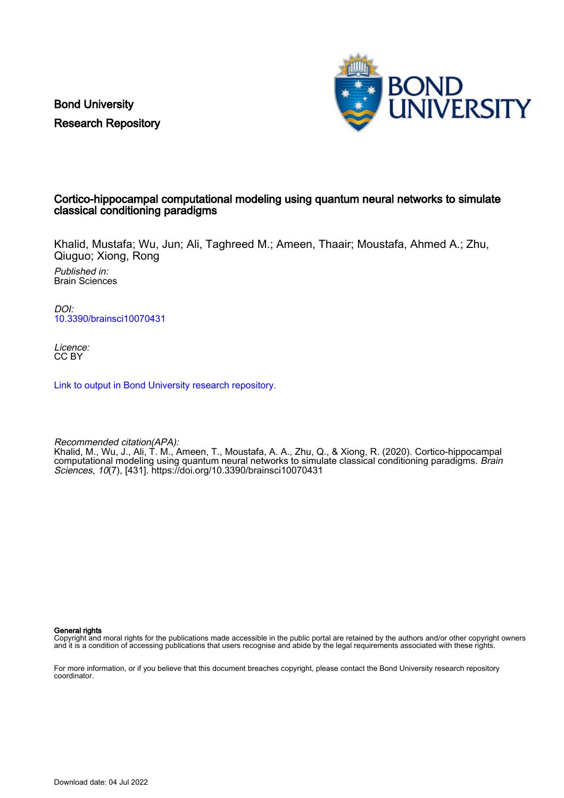Bond University Research Repository



## Cortico-hippocampal computational modeling using quantum neural networks to simulate classical conditioning paradigms

Khalid, Mustafa; Wu, Jun; Ali, Taghreed M.; Ameen, Thaair; Moustafa, Ahmed A.; Zhu, Qiuguo; Xiong, Rong

Published in: Brain Sciences

DOI: [10.3390/brainsci10070431](https://doi.org/10.3390/brainsci10070431)

Licence: CC BY

[Link to output in Bond University research repository.](https://research.bond.edu.au/en/publications/ae0eb9b5-22dc-412e-a623-788dc494e779)

Recommended citation(APA):

Khalid, M., Wu, J., Ali, T. M., Ameen, T., Moustafa, A. A., Zhu, Q., & Xiong, R. (2020). Cortico-hippocampal computational modeling using quantum neural networks to simulate classical conditioning paradigms. Brain Sciences, 10(7), [431]. <https://doi.org/10.3390/brainsci10070431>

General rights

Copyright and moral rights for the publications made accessible in the public portal are retained by the authors and/or other copyright owners and it is a condition of accessing publications that users recognise and abide by the legal requirements associated with these rights.

For more information, or if you believe that this document breaches copyright, please contact the Bond University research repository coordinator.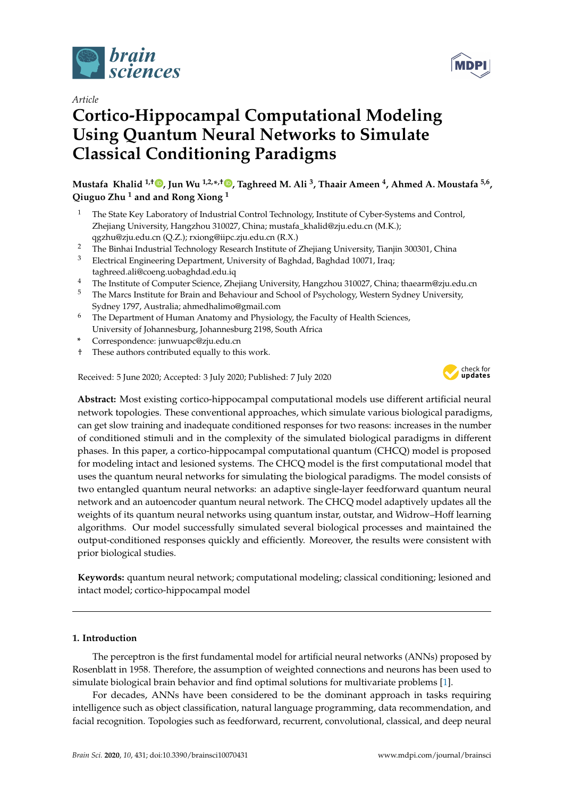

*Article*

# **Cortico-Hippocampal Computational Modeling Using Quantum Neural Networks to Simulate Classical Conditioning Paradigms**

**Mustafa Khalid 1,† [,](https://orcid.org/0000-0002-1513-9350) Jun Wu 1,2,\* ,[†](https://orcid.org/0000-0002-1388-7451) , Taghreed M. Ali <sup>3</sup> , Thaair Ameen <sup>4</sup> , Ahmed A. Moustafa 5,6 , Qiuguo Zhu <sup>1</sup> and and Rong Xiong <sup>1</sup>**

- <sup>1</sup> The State Key Laboratory of Industrial Control Technology, Institute of Cyber-Systems and Control, Zhejiang University, Hangzhou 310027, China; mustafa\_khalid@zju.edu.cn (M.K.); qgzhu@zju.edu.cn (Q.Z.); rxiong@iipc.zju.edu.cn (R.X.)
- <sup>2</sup> The Binhai Industrial Technology Research Institute of Zhejiang University, Tianjin 300301, China<br><sup>3</sup> Electrical Fracines in a Democratic Material of Back ded Pack ded 10071, Inc.
- <sup>3</sup> Electrical Engineering Department, University of Baghdad, Baghdad 10071, Iraq; taghreed.ali@coeng.uobaghdad.edu.iq
- <sup>4</sup> The Institute of Computer Science, Zhejiang University, Hangzhou 310027, China; thaearm@zju.edu.cn
- <sup>5</sup> The Marcs Institute for Brain and Behaviour and School of Psychology, Western Sydney University, Sydney 1797, Australia; ahmedhalimo@gmail.com
- $6$  The Department of Human Anatomy and Physiology, the Faculty of Health Sciences, University of Johannesburg, Johannesburg 2198, South Africa
- **\*** Correspondence: junwuapc@zju.edu.cn
- † These authors contributed equally to this work.

Received: 5 June 2020; Accepted: 3 July 2020; Published: 7 July 2020



**MDF** 

**Abstract:** Most existing cortico-hippocampal computational models use different artificial neural network topologies. These conventional approaches, which simulate various biological paradigms, can get slow training and inadequate conditioned responses for two reasons: increases in the number of conditioned stimuli and in the complexity of the simulated biological paradigms in different phases. In this paper, a cortico-hippocampal computational quantum (CHCQ) model is proposed for modeling intact and lesioned systems. The CHCQ model is the first computational model that uses the quantum neural networks for simulating the biological paradigms. The model consists of two entangled quantum neural networks: an adaptive single-layer feedforward quantum neural network and an autoencoder quantum neural network. The CHCQ model adaptively updates all the weights of its quantum neural networks using quantum instar, outstar, and Widrow–Hoff learning algorithms. Our model successfully simulated several biological processes and maintained the output-conditioned responses quickly and efficiently. Moreover, the results were consistent with prior biological studies.

**Keywords:** quantum neural network; computational modeling; classical conditioning; lesioned and intact model; cortico-hippocampal model

## **1. Introduction**

The perceptron is the first fundamental model for artificial neural networks (ANNs) proposed by Rosenblatt in 1958. Therefore, the assumption of weighted connections and neurons has been used to simulate biological brain behavior and find optimal solutions for multivariate problems [\[1\]](#page-26-0).

For decades, ANNs have been considered to be the dominant approach in tasks requiring intelligence such as object classification, natural language programming, data recommendation, and facial recognition. Topologies such as feedforward, recurrent, convolutional, classical, and deep neural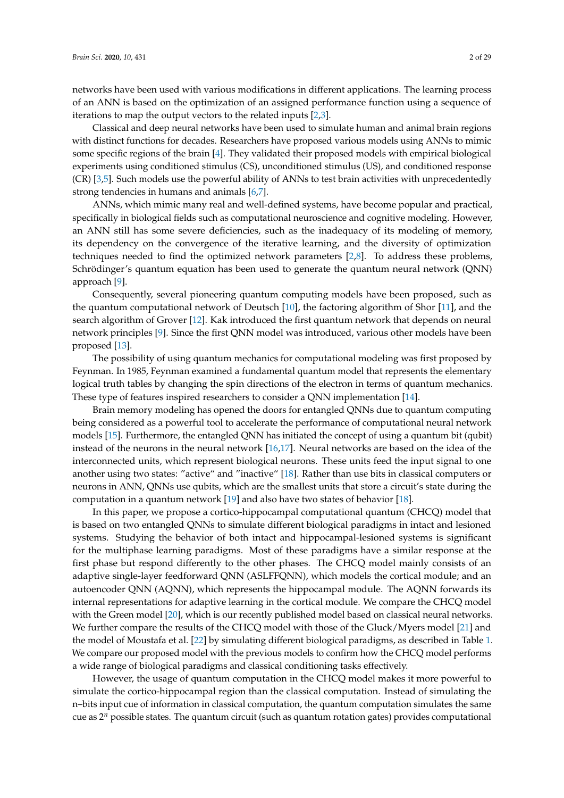networks have been used with various modifications in different applications. The learning process of an ANN is based on the optimization of an assigned performance function using a sequence of iterations to map the output vectors to the related inputs [\[2,](#page-26-1)[3\]](#page-26-2).

Classical and deep neural networks have been used to simulate human and animal brain regions with distinct functions for decades. Researchers have proposed various models using ANNs to mimic some specific regions of the brain [\[4\]](#page-26-3). They validated their proposed models with empirical biological experiments using conditioned stimulus (CS), unconditioned stimulus (US), and conditioned response (CR) [\[3](#page-26-2)[,5\]](#page-26-4). Such models use the powerful ability of ANNs to test brain activities with unprecedentedly strong tendencies in humans and animals [\[6](#page-26-5)[,7\]](#page-26-6).

ANNs, which mimic many real and well-defined systems, have become popular and practical, specifically in biological fields such as computational neuroscience and cognitive modeling. However, an ANN still has some severe deficiencies, such as the inadequacy of its modeling of memory, its dependency on the convergence of the iterative learning, and the diversity of optimization techniques needed to find the optimized network parameters [\[2,](#page-26-1)[8\]](#page-26-7). To address these problems, Schrödinger's quantum equation has been used to generate the quantum neural network (QNN) approach [\[9\]](#page-26-8).

Consequently, several pioneering quantum computing models have been proposed, such as the quantum computational network of Deutsch [\[10\]](#page-26-9), the factoring algorithm of Shor [\[11\]](#page-26-10), and the search algorithm of Grover [\[12\]](#page-26-11). Kak introduced the first quantum network that depends on neural network principles [\[9\]](#page-26-8). Since the first QNN model was introduced, various other models have been proposed [\[13\]](#page-27-0).

The possibility of using quantum mechanics for computational modeling was first proposed by Feynman. In 1985, Feynman examined a fundamental quantum model that represents the elementary logical truth tables by changing the spin directions of the electron in terms of quantum mechanics. These type of features inspired researchers to consider a QNN implementation [\[14\]](#page-27-1).

Brain memory modeling has opened the doors for entangled QNNs due to quantum computing being considered as a powerful tool to accelerate the performance of computational neural network models [\[15\]](#page-27-2). Furthermore, the entangled QNN has initiated the concept of using a quantum bit (qubit) instead of the neurons in the neural network [\[16,](#page-27-3)[17\]](#page-27-4). Neural networks are based on the idea of the interconnected units, which represent biological neurons. These units feed the input signal to one another using two states: "active" and "inactive" [\[18\]](#page-27-5). Rather than use bits in classical computers or neurons in ANN, QNNs use qubits, which are the smallest units that store a circuit's state during the computation in a quantum network [\[19\]](#page-27-6) and also have two states of behavior [\[18\]](#page-27-5).

In this paper, we propose a cortico-hippocampal computational quantum (CHCQ) model that is based on two entangled QNNs to simulate different biological paradigms in intact and lesioned systems. Studying the behavior of both intact and hippocampal-lesioned systems is significant for the multiphase learning paradigms. Most of these paradigms have a similar response at the first phase but respond differently to the other phases. The CHCQ model mainly consists of an adaptive single-layer feedforward QNN (ASLFFQNN), which models the cortical module; and an autoencoder QNN (AQNN), which represents the hippocampal module. The AQNN forwards its internal representations for adaptive learning in the cortical module. We compare the CHCQ model with the Green model [\[20\]](#page-27-7), which is our recently published model based on classical neural networks. We further compare the results of the CHCQ model with those of the Gluck/Myers model [\[21\]](#page-27-8) and the model of Moustafa et al. [\[22\]](#page-27-9) by simulating different biological paradigms, as described in Table [1.](#page-3-0) We compare our proposed model with the previous models to confirm how the CHCQ model performs a wide range of biological paradigms and classical conditioning tasks effectively.

However, the usage of quantum computation in the CHCQ model makes it more powerful to simulate the cortico-hippocampal region than the classical computation. Instead of simulating the n–bits input cue of information in classical computation, the quantum computation simulates the same cue as 2 *<sup>n</sup>* possible states. The quantum circuit (such as quantum rotation gates) provides computational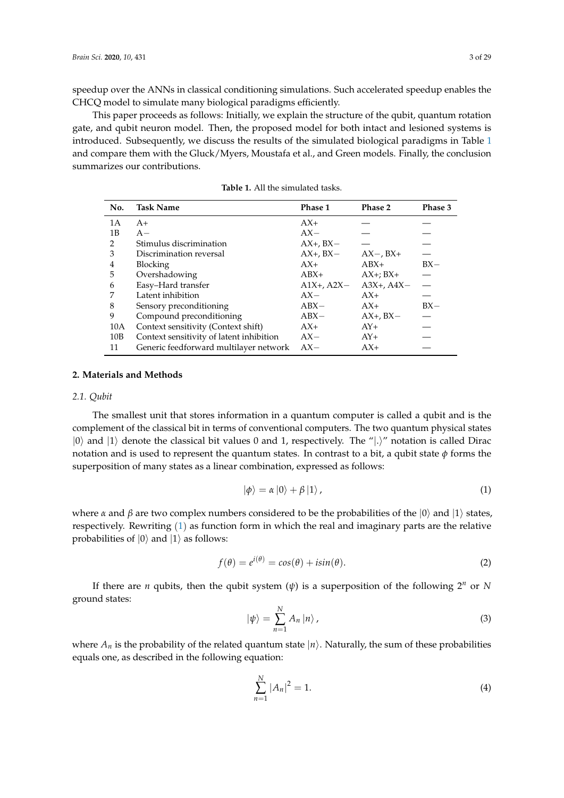speedup over the ANNs in classical conditioning simulations. Such accelerated speedup enables the CHCQ model to simulate many biological paradigms efficiently.

This paper proceeds as follows: Initially, we explain the structure of the qubit, quantum rotation gate, and qubit neuron model. Then, the proposed model for both intact and lesioned systems is introduced. Subsequently, we discuss the results of the simulated biological paradigms in Table [1](#page-3-0) and compare them with the Gluck/Myers, Moustafa et al., and Green models. Finally, the conclusion summarizes our contributions.

<span id="page-3-0"></span>

| No. | <b>Task Name</b>                         | Phase 1         | Phase 2         | Phase 3 |
|-----|------------------------------------------|-----------------|-----------------|---------|
| 1A  | $A+$                                     | $AX+$           |                 |         |
| 1B  | $A -$                                    | $AX-$           |                 |         |
| 2   | Stimulus discrimination                  | $AX+$ , $BX-$   |                 |         |
| 3   | Discrimination reversal                  | $AX+$ , $BX-$   | $AX -$ , $BX +$ |         |
| 4   | <b>Blocking</b>                          | $AX+$           | $ABX+$          | $BX -$  |
| 5   | Overshadowing                            | $ABX+$          | $AX+$ ; $BX+$   |         |
| 6   | Easy-Hard transfer                       | $A1X+$ , $A2X-$ | $A3X+$ , $A4X-$ |         |
| 7   | Latent inhibition                        | $AX-$           | $AX+$           |         |
| 8   | Sensory preconditioning                  | $ABX-$          | $AX+$           | $BX -$  |
| 9   | Compound preconditioning                 | $ABX-$          | $AX+$ , $BX-$   |         |
| 10A | Context sensitivity (Context shift)      | $AX+$           | $AY+$           |         |
| 10B | Context sensitivity of latent inhibition | $AX-$           | $AY+$           |         |
| 11  | Generic feedforward multilayer network   | $AX-$           | $AX+$           |         |

**Table 1.** All the simulated tasks.

#### **2. Materials and Methods**

#### *2.1. Qubit*

The smallest unit that stores information in a quantum computer is called a qubit and is the complement of the classical bit in terms of conventional computers. The two quantum physical states  $|0\rangle$  and  $|1\rangle$  denote the classical bit values 0 and 1, respectively. The "|.)" notation is called Dirac notation and is used to represent the quantum states. In contrast to a bit, a qubit state  $\phi$  forms the superposition of many states as a linear combination, expressed as follows:

<span id="page-3-1"></span>
$$
|\phi\rangle = \alpha |0\rangle + \beta |1\rangle, \qquad (1)
$$

where *α* and *β* are two complex numbers considered to be the probabilities of the  $|0\rangle$  and  $|1\rangle$  states, respectively. Rewriting ([1](#page-3-1)) as function form in which the real and imaginary parts are the relative probabilities of  $|0\rangle$  and  $|1\rangle$  as follows:

<span id="page-3-2"></span>
$$
f(\theta) = e^{i(\theta)} = \cos(\theta) + i\sin(\theta).
$$
 (2)

If there are *n* qubits, then the qubit system  $(\psi)$  is a superposition of the following  $2^n$  or N ground states:

$$
|\psi\rangle = \sum_{n=1}^{N} A_n |n\rangle, \tag{3}
$$

where  $A_n$  is the probability of the related quantum state  $|n\rangle$ . Naturally, the sum of these probabilities equals one, as described in the following equation:

$$
\sum_{n=1}^{N} |A_n|^2 = 1.
$$
\n(4)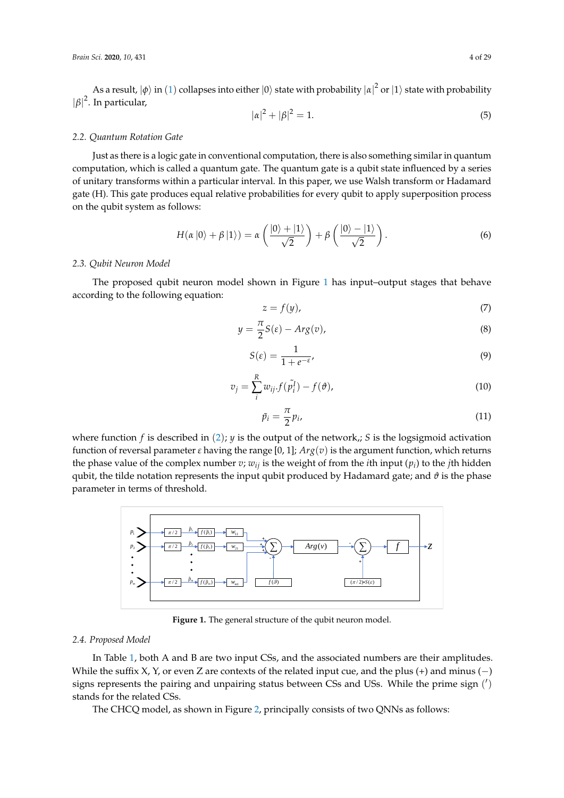As a result,  $|\phi\rangle$  in  $(1)$  $(1)$  $(1)$  collapses into either  $|0\rangle$  state with probability  $|\alpha|^2$  or  $|1\rangle$  state with probability  $|\beta|^2$ . In particular,

$$
|\alpha|^2 + |\beta|^2 = 1.
$$
 (5)

#### *2.2. Quantum Rotation Gate*

Just as there is a logic gate in conventional computation, there is also something similar in quantum computation, which is called a quantum gate. The quantum gate is a qubit state influenced by a series of unitary transforms within a particular interval. In this paper, we use Walsh transform or Hadamard gate (H). This gate produces equal relative probabilities for every qubit to apply superposition process on the qubit system as follows:

$$
H(\alpha \left|0\right\rangle + \beta \left|1\right\rangle) = \alpha \left(\frac{\left|0\right\rangle + \left|1\right\rangle}{\sqrt{2}}\right) + \beta \left(\frac{\left|0\right\rangle - \left|1\right\rangle}{\sqrt{2}}\right). \tag{6}
$$

## *2.3. Qubit Neuron Model*

The proposed qubit neuron model shown in Figure [1](#page-4-0) has input–output stages that behave according to the following equation:

<span id="page-4-1"></span>
$$
z = f(y),\tag{7}
$$

$$
y = \frac{\pi}{2}S(\varepsilon) - Arg(v),\tag{8}
$$

$$
S(\varepsilon) = \frac{1}{1 + e^{-\varepsilon}},\tag{9}
$$

$$
v_j = \sum_{i}^{R} w_{ij} f(\tilde{p}_i^I) - f(\vartheta), \qquad (10)
$$

<span id="page-4-2"></span>
$$
\tilde{p}_i = \frac{\pi}{2} p_i, \tag{11}
$$

where function  $f$  is described in  $(2)$  $(2)$  $(2)$ ; *y* is the output of the network,; *S* is the logsigmoid activation function of reversal parameter *ε* having the range [0, 1]; *Arg*(*v*) is the argument function, which returns the phase value of the complex number *v*; *wij* is the weight of from the *i*th input (*p<sup>i</sup>* ) to the *j*th hidden qubit, the tilde notation represents the input qubit produced by Hadamard gate; and  $\vartheta$  is the phase parameter in terms of threshold.

<span id="page-4-0"></span>

**Figure 1.** The general structure of the qubit neuron model.

## *2.4. Proposed Model*

In Table [1,](#page-3-0) both A and B are two input CSs, and the associated numbers are their amplitudes. While the suffix X, Y, or even Z are contexts of the related input cue, and the plus (+) and minus (-) signs represents the pairing and unpairing status between CSs and USs. While the prime sign  $(')$ stands for the related CSs.

The CHCQ model, as shown in Figure [2,](#page-5-0) principally consists of two QNNs as follows: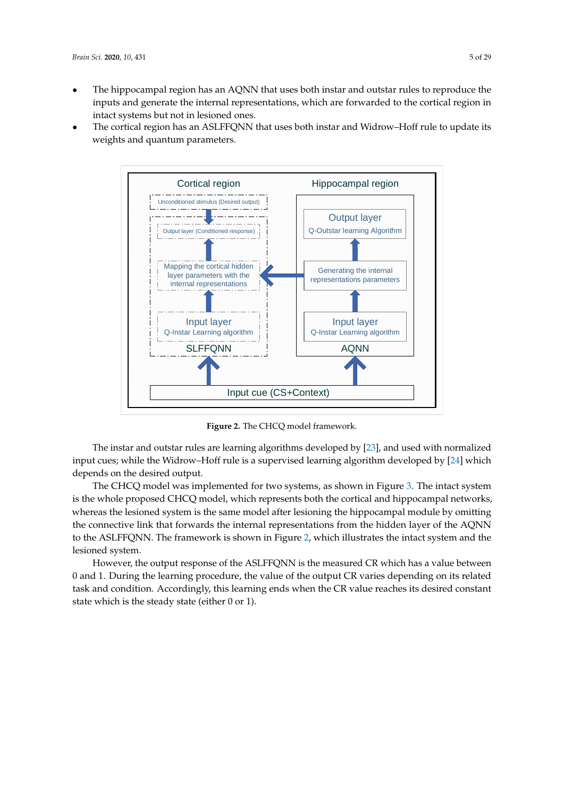- The hippocampal region has an AQNN that uses both instar and outstar rules to reproduce the inputs and generate the internal representations, which are forwarded to the cortical region in intact systems but not in lesioned ones.
- <span id="page-5-0"></span>• The cortical region has an ASLFFQNN that uses both instar and Widrow–Hoff rule to update its weights and quantum parameters.



**Figure 2.** The CHCQ model framework.

The instar and outstar rules are learning algorithms developed by [\[23\]](#page-27-10), and used with normalized input cues; while the Widrow–Hoff rule is a supervised learning algorithm developed by [\[24\]](#page-27-11) which depends on the desired output.

The CHCQ model was implemented for two systems, as shown in Figure [3.](#page-6-0) The intact system is the whole proposed CHCQ model, which represents both the cortical and hippocampal networks, whereas the lesioned system is the same model after lesioning the hippocampal module by omitting the connective link that forwards the internal representations from the hidden layer of the AQNN to the ASLFFQNN. The framework is shown in Figure [2,](#page-5-0) which illustrates the intact system and the lesioned system.

However, the output response of the ASLFFQNN is the measured CR which has a value between 0 and 1. During the learning procedure, the value of the output CR varies depending on its related task and condition. Accordingly, this learning ends when the CR value reaches its desired constant state which is the steady state (either 0 or 1).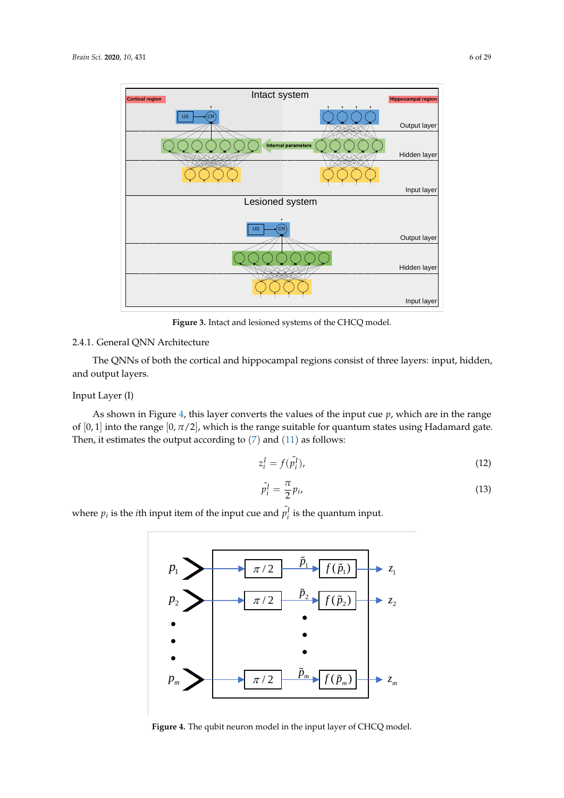<span id="page-6-0"></span>

**Figure 3.** Intact and lesioned systems of the CHCQ model.

## 2.4.1. General QNN Architecture

The QNNs of both the cortical and hippocampal regions consist of three layers: input, hidden, and output layers.

## Input Layer (I)

As shown in Figure [4,](#page-6-1) this layer converts the values of the input cue *p*, which are in the range of  $[0, 1]$  into the range  $[0, \pi/2]$ , which is the range suitable for quantum states using Hadamard gate. Then, it estimates the output according to  $(7)$  $(7)$  $(7)$  and  $(11)$  $(11)$  $(11)$  as follows:

$$
z_i^I = f(\tilde{p}_i^I),\tag{12}
$$

$$
\tilde{p}_i^I = \frac{\pi}{2} p_i,\tag{13}
$$

<span id="page-6-1"></span>where  $p_i$  is the *i*th input item of the input cue and  $\tilde{p}_i^I$  is the quantum input.



**Figure 4.** The qubit neuron model in the input layer of CHCQ model.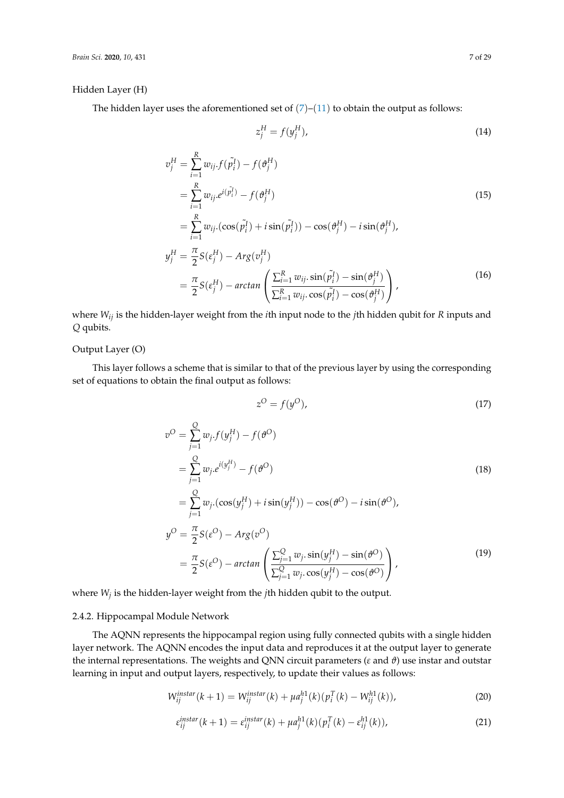#### Hidden Layer (H)

The hidden layer uses the aforementioned set of  $(7)-(11)$  $(7)-(11)$  $(7)-(11)$  $(7)-(11)$  $(7)-(11)$  to obtain the output as follows:

$$
z_j^H = f(y_j^H),\tag{14}
$$

$$
v_j^H = \sum_{i=1}^R w_{ij} f(\tilde{p}_i^I) - f(\theta_j^H)
$$
  
\n
$$
= \sum_{i=1}^R w_{ij} e^{i(\tilde{p}_i^I)} - f(\theta_j^H)
$$
  
\n
$$
= \sum_{i=1}^R w_{ij} \cdot (\cos(\tilde{p}_i^I) + i \sin(\tilde{p}_i^I)) - \cos(\theta_j^H) - i \sin(\theta_j^H),
$$
  
\n
$$
y_j^H = \frac{\pi}{2} S(\epsilon_j^H) - Arg(v_j^H)
$$
  
\n
$$
= \frac{\pi}{2} S(\epsilon_j^H) - arctan\left(\frac{\sum_{i=1}^R w_{ij} \cdot \sin(\tilde{p}_i^I) - \sin(\theta_j^H)}{\sum_{i=1}^R w_{ij} \cdot \cos(\tilde{p}_i^I) - \cos(\theta_j^H)}\right),
$$
\n(16)

where *Wij* is the hidden-layer weight from the *i*th input node to the *j*th hidden qubit for *R* inputs and *Q* qubits.

## Output Layer (O)

This layer follows a scheme that is similar to that of the previous layer by using the corresponding set of equations to obtain the final output as follows:

$$
z^O = f(y^O),\tag{17}
$$

$$
v^{O} = \sum_{j=1}^{Q} w_{j} f(y_{j}^{H}) - f(\theta^{O})
$$
  
\n
$$
= \sum_{j=1}^{Q} w_{j} e^{i(y_{j}^{H})} - f(\theta^{O})
$$
  
\n
$$
= \sum_{j=1}^{Q} w_{j} (\cos(y_{j}^{H}) + i \sin(y_{j}^{H})) - \cos(\theta^{O}) - i \sin(\theta^{O}),
$$
  
\n
$$
y^{O} = \frac{\pi}{2} S(\epsilon^{O}) - Arg(v^{O})
$$
  
\n
$$
= \frac{\pi}{2} S(\epsilon^{O}) - arctan\left(\frac{\sum_{j=1}^{Q} w_{j} \cdot \sin(y_{j}^{H}) - \sin(\theta^{O})}{\sum_{j=1}^{Q} w_{j} \cdot \cos(y_{j}^{H}) - \cos(\theta^{O})}\right),
$$
\n(19)

where *W<sup>j</sup>* is the hidden-layer weight from the *j*th hidden qubit to the output.

## 2.4.2. Hippocampal Module Network

The AQNN represents the hippocampal region using fully connected qubits with a single hidden layer network. The AQNN encodes the input data and reproduces it at the output layer to generate the internal representations. The weights and QNN circuit parameters (*ε* and *ϑ*) use instar and outstar learning in input and output layers, respectively, to update their values as follows:

$$
W_{ij}^{instar}(k+1) = W_{ij}^{instar}(k) + \mu a_j^{h1}(k) (p_i^T(k) - W_{ij}^{h1}(k)),
$$
\n(20)

$$
\varepsilon_{ij}^{instar}(k+1) = \varepsilon_{ij}^{instar}(k) + \mu a_j^{h1}(k) (p_i^T(k) - \varepsilon_{ij}^{h1}(k)), \qquad (21)
$$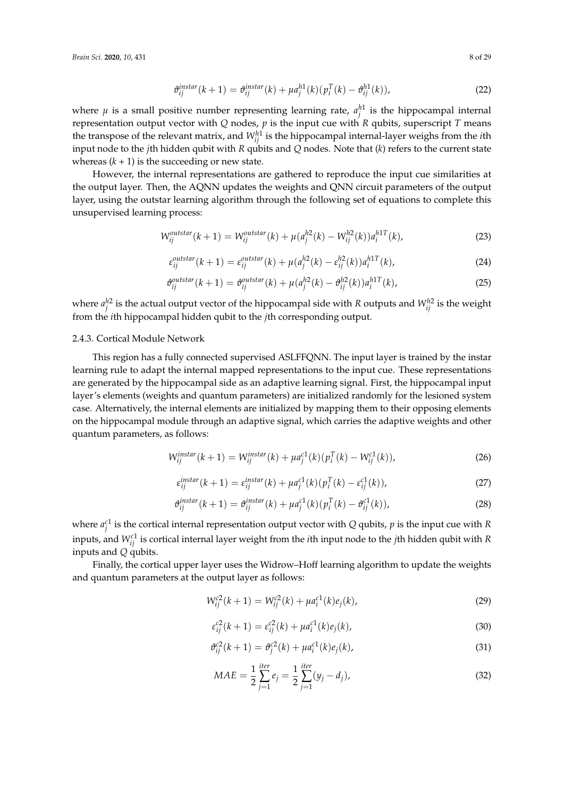$$
\vartheta_{ij}^{instar}(k+1) = \vartheta_{ij}^{instar}(k) + \mu a_j^{h1}(k) \left( p_i^T(k) - \vartheta_{ij}^{h1}(k) \right),\tag{22}
$$

where  $\mu$  is a small positive number representing learning rate,  $a_j^{h1}$  is the hippocampal internal representation output vector with *Q* nodes, *p* is the input cue with *R* qubits, superscript *T* means the transpose of the relevant matrix, and  $W_{ij}^{h1}$  is the hippocampal internal-layer weighs from the *i*th input node to the *j*th hidden qubit with *R* qubits and *Q* nodes. Note that (*k*) refers to the current state whereas  $(k + 1)$  is the succeeding or new state.

However, the internal representations are gathered to reproduce the input cue similarities at the output layer. Then, the AQNN updates the weights and QNN circuit parameters of the output layer, using the outstar learning algorithm through the following set of equations to complete this unsupervised learning process:

$$
W_{ij}^{outstar}(k+1) = W_{ij}^{outstar}(k) + \mu(a_j^{h2}(k) - W_{ij}^{h2}(k))a_i^{h1T}(k),
$$
\n(23)

$$
\varepsilon_{ij}^{\text{outstar}}(k+1) = \varepsilon_{ij}^{\text{outstar}}(k) + \mu(a_j^{h2}(k) - \varepsilon_{ij}^{h2}(k))a_i^{h1T}(k),\tag{24}
$$

$$
\vartheta_{ij}^{\text{outstar}}(k+1) = \vartheta_{ij}^{\text{outstar}}(k) + \mu(a_j^{h2}(k) - \vartheta_{ij}^{h2}(k))a_i^{h1T}(k),\tag{25}
$$

where  $a_j^{h2}$  is the actual output vector of the hippocampal side with *R* outputs and  $W_{ij}^{h2}$  is the weight from the *i*th hippocampal hidden qubit to the *j*th corresponding output.

#### 2.4.3. Cortical Module Network

This region has a fully connected supervised ASLFFQNN. The input layer is trained by the instar learning rule to adapt the internal mapped representations to the input cue. These representations are generated by the hippocampal side as an adaptive learning signal. First, the hippocampal input layer's elements (weights and quantum parameters) are initialized randomly for the lesioned system case. Alternatively, the internal elements are initialized by mapping them to their opposing elements on the hippocampal module through an adaptive signal, which carries the adaptive weights and other quantum parameters, as follows:

$$
W_{ij}^{instar}(k+1) = W_{ij}^{instar}(k) + \mu a_j^{c1}(k) (p_i^T(k) - W_{ij}^{c1}(k)),
$$
\n(26)

$$
\varepsilon_{ij}^{instar}(k+1) = \varepsilon_{ij}^{instar}(k) + \mu \varepsilon_j^{c1}(k) \left( p_i^T(k) - \varepsilon_{ij}^{c1}(k) \right),\tag{27}
$$

$$
\vartheta_{ij}^{instant}(k+1) = \vartheta_{ij}^{instar}(k) + \mu a_j^{c1}(k) (p_i^T(k) - \vartheta_{ij}^{c1}(k)),
$$
\n(28)

where  $a_j^{c1}$  is the cortical internal representation output vector with *Q* qubits, *p* is the input cue with *R* inputs, and *Wc*<sup>1</sup> *ij* is cortical internal layer weight from the *i*th input node to the *j*th hidden qubit with *R* inputs and *Q* qubits.

Finally, the cortical upper layer uses the Widrow–Hoff learning algorithm to update the weights and quantum parameters at the output layer as follows:

$$
W_{ij}^{c2}(k+1) = W_{ij}^{c2}(k) + \mu a_i^{c1}(k)e_j(k),
$$
\n(29)

$$
\varepsilon_{ij}^{c2}(k+1) = \varepsilon_{ij}^{c2}(k) + \mu a_i^{c1}(k)e_j(k),
$$
\n(30)

$$
\vartheta_{ij}^{c2}(k+1) = \vartheta_j^{c2}(k) + \mu a_i^{c1}(k)e_j(k), \qquad (31)
$$

$$
MAE = \frac{1}{2} \sum_{j=1}^{iter} e_j = \frac{1}{2} \sum_{j=1}^{iter} (y_j - d_j),
$$
\n(32)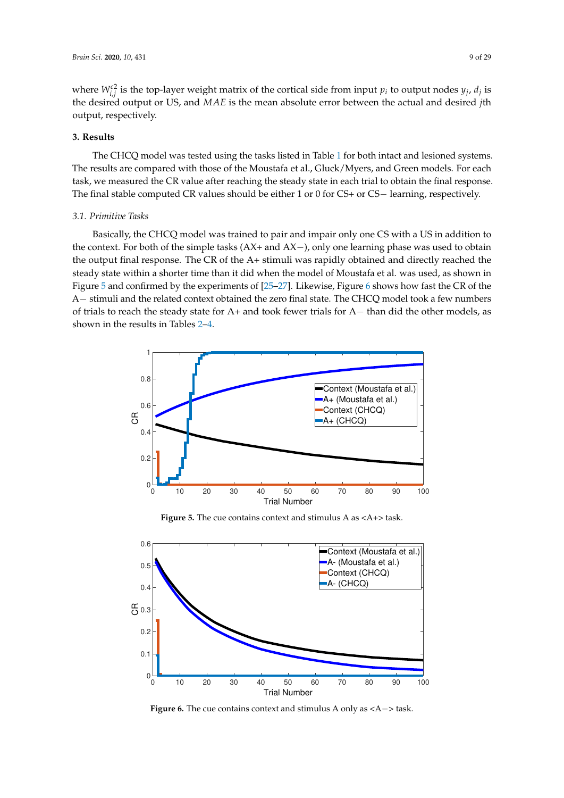where  $W_{i,j}^{c2}$  is the top-layer weight matrix of the cortical side from input  $p_i$  to output nodes  $y_j$ ,  $d_j$  is the desired output or US, and *MAE* is the mean absolute error between the actual and desired *j*th output, respectively.

#### **3. Results**

The CHCQ model was tested using the tasks listed in Table [1](#page-3-0) for both intact and lesioned systems. The results are compared with those of the Moustafa et al., Gluck/Myers, and Green models. For each task, we measured the CR value after reaching the steady state in each trial to obtain the final response. The final stable computed CR values should be either 1 or 0 for CS+ or CS− learning, respectively.

## *3.1. Primitive Tasks*

Basically, the CHCQ model was trained to pair and impair only one CS with a US in addition to the context. For both of the simple tasks (AX+ and AX−), only one learning phase was used to obtain the output final response. The CR of the A+ stimuli was rapidly obtained and directly reached the steady state within a shorter time than it did when the model of Moustafa et al. was used, as shown in Figure [5](#page-9-0) and confirmed by the experiments of [\[25–](#page-27-12)[27\]](#page-27-13). Likewise, Figure [6](#page-9-1) shows how fast the CR of the A− stimuli and the related context obtained the zero final state. The CHCQ model took a few numbers of trials to reach the steady state for A+ and took fewer trials for A− than did the other models, as shown in the results in Tables [2–](#page-10-0)[4.](#page-11-0)

<span id="page-9-0"></span>

**Figure 5.** The cue contains context and stimulus A as <A+> task.

<span id="page-9-1"></span>

**Figure 6.** The cue contains context and stimulus A only as <A−> task.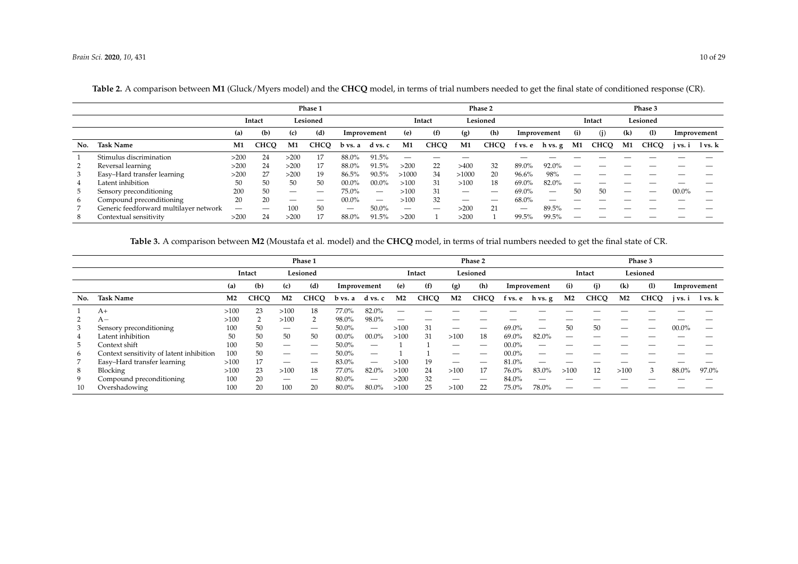|     |                                        | Phase 1 |             |          |      |             |          | Phase 2                       |             |       |             |         |             |                          | Phase 3     |                            |             |          |             |  |  |
|-----|----------------------------------------|---------|-------------|----------|------|-------------|----------|-------------------------------|-------------|-------|-------------|---------|-------------|--------------------------|-------------|----------------------------|-------------|----------|-------------|--|--|
|     |                                        |         | Intact      | Lesioned |      |             |          | Lesioned<br>Intact            |             |       |             |         |             | Intact                   |             | Lesioned                   |             |          |             |  |  |
|     |                                        | (a)     | (b)         | (c)      | (d)  | Improvement |          | (e)                           | (f)         | (g)   | (h)         |         | Improvement |                          | (i)         | $\left( \mathbf{k}\right)$ | (1)         |          | Improvement |  |  |
| No. | <b>Task Name</b>                       | M1      | <b>CHCO</b> | M1       | CHCO | b vs. a     | d vs. c  | M1                            | <b>CHCO</b> | M1    | <b>CHCQ</b> | t vs. e | h vs. g     | M1                       | <b>CHCQ</b> | M1                         | <b>CHCO</b> | j vs. i  | l vs. k     |  |  |
|     | Stimulus discrimination                | >200    | 24          | >200     | 17   | 88.0%       | 91.5%    | $\overbrace{\phantom{12332}}$ |             |       |             |         |             |                          |             |                            |             |          |             |  |  |
|     | Reversal learning                      | >200    | 24          | >200     | 17   | 88.0%       | $91.5\%$ | >200                          | 22          | >400  | 32          | 89.0%   | 92.0%       |                          |             |                            |             |          |             |  |  |
| 3   | Easy-Hard transfer learning            | >200    | 27          | >200     | 19   | 86.5%       | 90.5%    | >1000                         | 34          | >1000 | 20          | 96.6%   | 98%         | _                        |             |                            |             |          |             |  |  |
| 4   | Latent inhibition                      | 50      | 50          | 50       | 50   | $00.0\%$    | $00.0\%$ | >100                          | 31          | >100  | 18          | 69.0%   | 82.0%       |                          |             |                            |             |          |             |  |  |
|     | Sensory preconditioning                | 200     | 50          |          |      | 75.0%       |          | >100                          | 31          |       |             | 69.0%   |             | 50                       | 50          |                            | --          | $00.0\%$ | –           |  |  |
| 6   | Compound preconditioning               | 20      | 20          |          |      | $00.0\%$    |          | $>100$                        | 32          |       |             | 68.0%   | _           |                          |             |                            |             |          |             |  |  |
|     | Generic feedforward multilayer network | _       |             | 100      | 50   |             | 50.0%    |                               |             | >200  | 21          |         | 89.5%       | $\overline{\phantom{a}}$ |             |                            |             |          |             |  |  |
| 8   | Contextual sensitivity                 | >200    | 24          | >200     | 17   | 88.0%       | 91.5%    | >20                           |             | >200  |             | 99.5%   | 99.5%       |                          |             |                            |             |          |             |  |  |

**Table 2.** A comparison between **M1** (Gluck/Myers model) and the **CHCQ** model, in terms of trial numbers needed to get the final state of conditioned response (CR).

**Table 3.** A comparison between **M2** (Moustafa et al. model) and the **CHCQ** model, in terms of trial numbers needed to get the final state of CR.

<span id="page-10-1"></span><span id="page-10-0"></span>

|     |                                          | Phase 1        |             |                |             |          |             | Phase 2        |             |                |             |             |         |                | Phase 3     |                |             |             |             |  |  |  |
|-----|------------------------------------------|----------------|-------------|----------------|-------------|----------|-------------|----------------|-------------|----------------|-------------|-------------|---------|----------------|-------------|----------------|-------------|-------------|-------------|--|--|--|
|     |                                          | Intact         |             | Lesioned       |             |          |             | Intact         |             | Lesioned       |             |             |         | Intact         |             | Lesioned       |             |             |             |  |  |  |
|     |                                          | (a)            | (b)         | (c)            | (d)         |          | Improvement |                | (f)         | (g)            | (h)         | Improvement |         | (i)            | (i)<br>(k)  |                | (1)         | Improvement |             |  |  |  |
| No. | <b>Task Name</b>                         | M <sub>2</sub> | <b>CHCO</b> | M <sub>2</sub> | <b>CHCO</b> | b vs. a  | d vs. c     | M <sub>2</sub> | <b>CHCQ</b> | M <sub>2</sub> | <b>CHCQ</b> | f vs. e     | h vs. g | M <sub>2</sub> | <b>CHCO</b> | M <sub>2</sub> | <b>CHCO</b> | i vs. i     | $1$ vs. $k$ |  |  |  |
|     | $A+$                                     | >100           | 23          | >100           | 18          | 77.0%    | 82.0%       |                |             |                |             |             |         |                |             |                |             |             |             |  |  |  |
|     | $A-$                                     | >100           |             | >100           |             | 98.0%    | 98.0%       |                |             |                |             |             |         |                |             |                |             |             |             |  |  |  |
| 3   | Sensory preconditioning                  | 100            | 50          |                |             | 50.0%    |             | >100           | 31          |                |             | 69.0%       |         | 50             | 50          | _              | _           | $00.0\%$    |             |  |  |  |
| 4   | Latent inhibition                        | 50             | 50          | 50             | 50          | $00.0\%$ | $00.0\%$    | >100           | 31          | >100           | 18          | 69.0%       | 82.0%   | –              |             |                |             |             |             |  |  |  |
| -5  | Context shift                            | 100            | 50          |                |             | 50.0%    | _           |                |             |                | –           | $00.0\%$    |         |                |             |                |             |             |             |  |  |  |
| 6   | Context sensitivity of latent inhibition | 100            | 50          |                |             | 50.0%    |             |                |             |                |             | $00.0\%$    | _       |                |             |                |             |             |             |  |  |  |
|     | Easy-Hard transfer learning              | >100           | 17          |                |             | 83.0%    |             | >100           | 19          |                | –           | 81.0%       |         |                |             |                |             |             |             |  |  |  |
| 8   | Blocking                                 | >100           | 23          | >100           | 18          | 77.0%    | 82.0%       | >100           | 24          | >100           | 17          | 76.0%       | 83.0%   | >100           | 12          | >100           | 3           | 88.0%       | 97.0%       |  |  |  |
| 9   | Compound preconditioning                 | 100            | 20          |                |             | 80.0%    |             | >200           | 32          |                |             | 84.0%       |         |                |             |                |             |             |             |  |  |  |
| 10  | Overshadowing                            | 100            | 20          | 100            | 20          | 80.0%    | 80.0%       | >100           | 25          | >100           | 22          | 75.0%       | 78.0%   |                |             |                |             |             |             |  |  |  |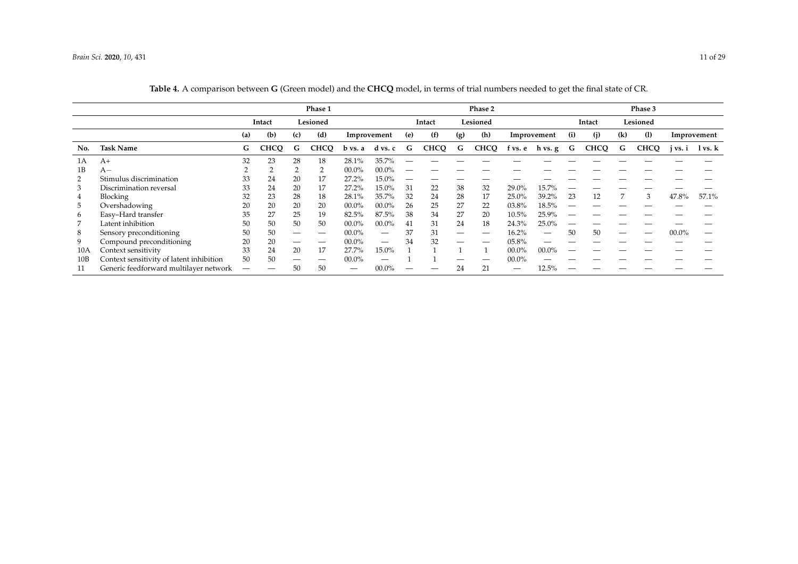<span id="page-11-0"></span>

|     |                                          | Phase 1 |             |          |             |             |                     |        |             |          | Phase 2     |          |                 | Phase 3 |             |            |             |          |                             |  |
|-----|------------------------------------------|---------|-------------|----------|-------------|-------------|---------------------|--------|-------------|----------|-------------|----------|-----------------|---------|-------------|------------|-------------|----------|-----------------------------|--|
|     |                                          | Intact  |             | Lesioned |             |             |                     | Intact |             | Lesioned |             |          |                 | Intact  |             | Lesioned   |             |          |                             |  |
|     |                                          | (a)     | (b)         | (c)      | (d)         | Improvement |                     | (e)    | (f)         | (g)      | (h)         |          | Improvement     | (i)     | (i)         | (1)<br>(k) |             |          | Improvement                 |  |
| No. | <b>Task Name</b>                         | G       | <b>CHCQ</b> | G        | <b>CHCQ</b> |             | $b$ vs. a $d$ vs. c | G      | <b>CHCQ</b> | G        | <b>CHCQ</b> |          | f vs. e h vs. g | G       | <b>CHCQ</b> | G          | <b>CHCQ</b> |          | j vs. i $\frac{1}{1}$ vs. k |  |
| 1Α  | $A+$                                     | 32      | 23          | 28       | 18          | 28.1%       | 35.7%               |        |             |          |             |          |                 |         |             |            |             |          |                             |  |
| 1B  | $A-$                                     |         |             |          |             | $00.0\%$    | $00.0\%$            |        |             |          |             |          |                 |         |             |            |             |          |                             |  |
| 2   | Stimulus discrimination                  | 33      | 24          | 20       | 17          | 27.2%       | 15.0%               |        |             |          |             |          |                 |         |             |            |             |          |                             |  |
| 3   | Discrimination reversal                  | 33      | 24          | 20       | 17          | 27.2%       | 15.0%               | 31     | 22          | 38       | 32          | 29.0%    | 15.7%           |         |             |            |             |          |                             |  |
| 4   | Blocking                                 | 32      | 23          | 28       | 18          | 28.1%       | 35.7%               | 32     | 24          | 28       | 17          | 25.0%    | 39.2%           | 23      | 12          |            | 3           | 47.8%    | 57.1%                       |  |
| 5   | Overshadowing                            | 20      | 20          | 20       | 20          | $00.0\%$    | $00.0\%$            | 26     | 25          | 27       | 22          | 03.8%    | $18.5\%$        |         |             |            |             |          |                             |  |
| 6   | Easy-Hard transfer                       | 35      | 27          | 25       | 19          | 82.5%       | 87.5%               | 38     | 34          | 27       | 20          | 10.5%    | 25.9%           |         |             |            |             |          |                             |  |
|     | Latent inhibition                        | 50      | 50          | 50       | 50          | $00.0\%$    | $00.0\%$            | 41     | 31          | 24       | 18          | 24.3%    | 25.0%           |         |             |            |             |          |                             |  |
| 8   | Sensory preconditioning                  | 50      | 50          |          | –           | $00.0\%$    |                     | 37     | 31          |          | –           | 16.2%    |                 | 50      | 50          |            |             | $00.0\%$ |                             |  |
| 9   | Compound preconditioning                 | 20      | 20          |          | –           | $00.0\%$    |                     | 34     | 32          | —        |             | 05.8%    |                 |         |             |            |             |          |                             |  |
| 10A | Context sensitivity                      | 33      | 24          | 20       | 17          | 27.7%       | 15.0%               |        |             |          |             | $00.0\%$ | $00.0\%$        |         |             |            |             |          |                             |  |
| 10B | Context sensitivity of latent inhibition | 50      | 50          |          | –           | $00.0\%$    |                     |        |             | –        |             | $00.0\%$ |                 |         |             |            |             |          |                             |  |
|     | Generic feedforward multilayer network   | —       |             | 50       | 50          |             | $00.0\%$            |        |             | 24       | 21          | –        | 12.5%           |         |             |            |             |          |                             |  |

| Table 4. A comparison between G (Green model) and the CHCQ model, in terms of trial numbers needed to get the final state of CR. |  |
|----------------------------------------------------------------------------------------------------------------------------------|--|
|----------------------------------------------------------------------------------------------------------------------------------|--|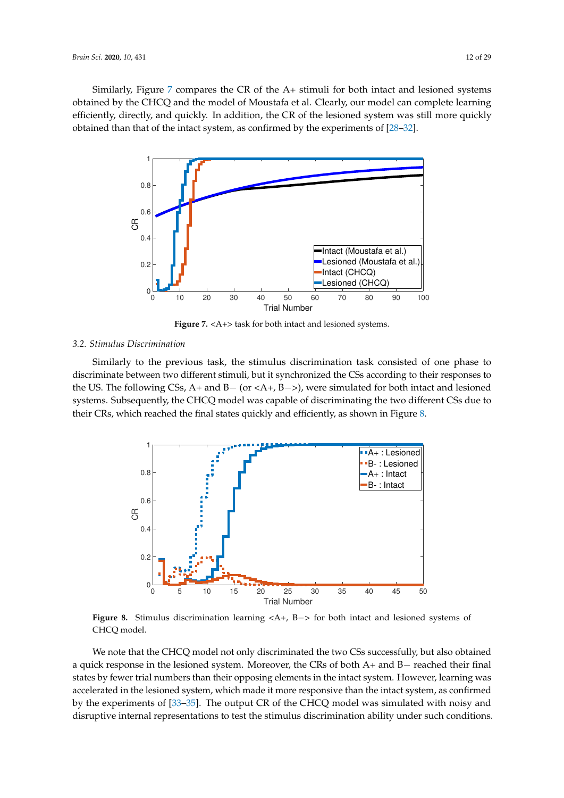<span id="page-12-0"></span>Similarly, Figure  $7$  compares the CR of the A+ stimuli for both intact and lesioned systems obtained by the CHCQ and the model of Moustafa et al. Clearly, our model can complete learning efficiently, directly, and quickly. In addition, the CR of the lesioned system was still more quickly obtained than that of the intact system, as confirmed by the experiments of [\[28–](#page-27-14)[32\]](#page-27-15).



**Figure 7.** <A+> task for both intact and lesioned systems.

#### *3.2. Stimulus Discrimination*

Similarly to the previous task, the stimulus discrimination task consisted of one phase to discriminate between two different stimuli, but it synchronized the CSs according to their responses to the US. The following CSs, A+ and B− (or <A+, B−>), were simulated for both intact and lesioned systems. Subsequently, the CHCQ model was capable of discriminating the two different CSs due to their CRs, which reached the final states quickly and efficiently, as shown in Figure [8.](#page-12-1)

<span id="page-12-1"></span>

**Figure 8.** Stimulus discrimination learning <A+, B−> for both intact and lesioned systems of CHCQ model.

We note that the CHCQ model not only discriminated the two CSs successfully, but also obtained a quick response in the lesioned system. Moreover, the CRs of both A+ and B− reached their final states by fewer trial numbers than their opposing elements in the intact system. However, learning was accelerated in the lesioned system, which made it more responsive than the intact system, as confirmed by the experiments of [\[33–](#page-27-16)[35\]](#page-28-0). The output CR of the CHCQ model was simulated with noisy and disruptive internal representations to test the stimulus discrimination ability under such conditions.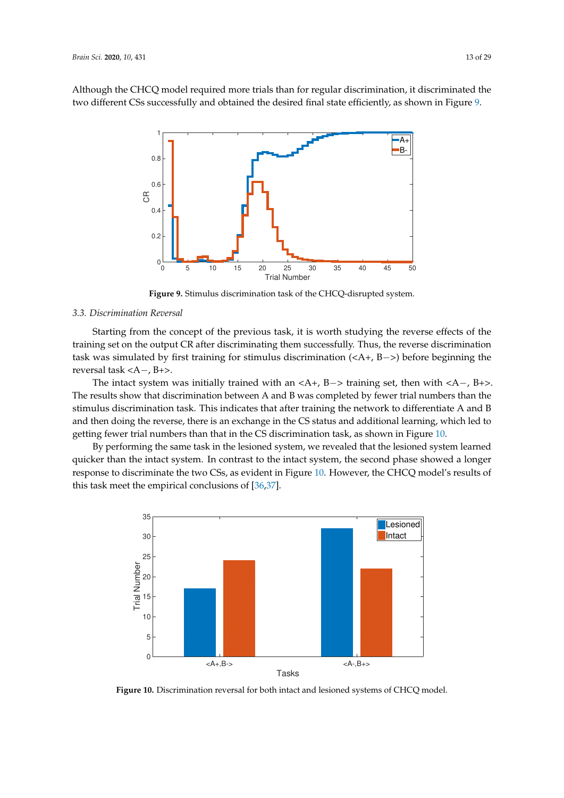<span id="page-13-0"></span>Although the CHCQ model required more trials than for regular discrimination, it discriminated the two different CSs successfully and obtained the desired final state efficiently, as shown in Figure [9.](#page-13-0)



**Figure 9.** Stimulus discrimination task of the CHCQ-disrupted system.

#### *3.3. Discrimination Reversal*

Starting from the concept of the previous task, it is worth studying the reverse effects of the training set on the output CR after discriminating them successfully. Thus, the reverse discrimination task was simulated by first training for stimulus discrimination (<A+, B−>) before beginning the reversal task <A−, B+>.

The intact system was initially trained with an  $\langle A^+, B^- \rangle$  training set, then with  $\langle A^-, B^+ \rangle$ . The results show that discrimination between A and B was completed by fewer trial numbers than the stimulus discrimination task. This indicates that after training the network to differentiate A and B and then doing the reverse, there is an exchange in the CS status and additional learning, which led to getting fewer trial numbers than that in the CS discrimination task, as shown in Figure [10.](#page-13-1)

By performing the same task in the lesioned system, we revealed that the lesioned system learned quicker than the intact system. In contrast to the intact system, the second phase showed a longer response to discriminate the two CSs, as evident in Figure [10.](#page-13-1) However, the CHCQ model's results of this task meet the empirical conclusions of [\[36,](#page-28-1)[37\]](#page-28-2).

<span id="page-13-1"></span>

**Figure 10.** Discrimination reversal for both intact and lesioned systems of CHCQ model.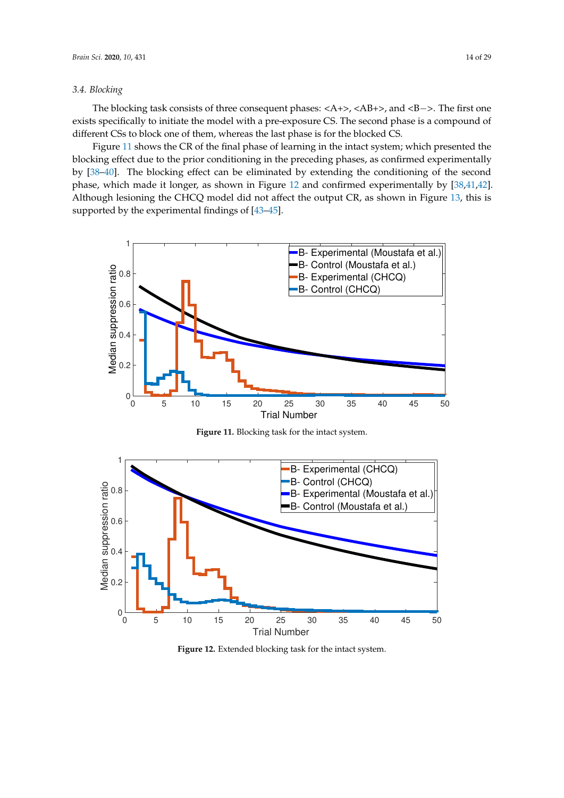#### *3.4. Blocking*

The blocking task consists of three consequent phases: <A+>, <AB+>, and <B−>. The first one exists specifically to initiate the model with a pre-exposure CS. The second phase is a compound of different CSs to block one of them, whereas the last phase is for the blocked CS.

Figure [11](#page-14-0) shows the CR of the final phase of learning in the intact system; which presented the blocking effect due to the prior conditioning in the preceding phases, as confirmed experimentally by [\[38](#page-28-3)[–40\]](#page-28-4). The blocking effect can be eliminated by extending the conditioning of the second phase, which made it longer, as shown in Figure [12](#page-14-1) and confirmed experimentally by [\[38,](#page-28-3)[41,](#page-28-5)[42\]](#page-28-6). Although lesioning the CHCQ model did not affect the output CR, as shown in Figure [13,](#page-15-0) this is supported by the experimental findings of [\[43](#page-28-7)[–45\]](#page-28-8).

<span id="page-14-0"></span>

**Figure 11.** Blocking task for the intact system.

<span id="page-14-1"></span>

**Figure 12.** Extended blocking task for the intact system.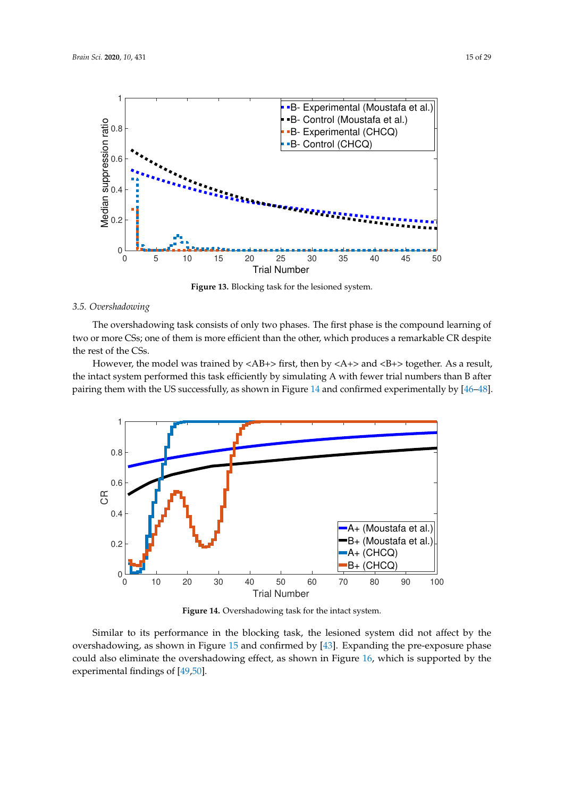<span id="page-15-0"></span>

**Figure 13.** Blocking task for the lesioned system.

## *3.5. Overshadowing*

The overshadowing task consists of only two phases. The first phase is the compound learning of two or more CSs; one of them is more efficient than the other, which produces a remarkable CR despite the rest of the CSs.

However, the model was trained by  $\langle AB+\rangle$  first, then by  $\langle A+\rangle$  and  $\langle B+\rangle$  together. As a result, the intact system performed this task efficiently by simulating A with fewer trial numbers than B after pairing them with the US successfully, as shown in Figure [14](#page-15-1) and confirmed experimentally by [\[46–](#page-28-9)[48\]](#page-28-10).

<span id="page-15-1"></span>

**Figure 14.** Overshadowing task for the intact system.

Similar to its performance in the blocking task, the lesioned system did not affect by the overshadowing, as shown in Figure [15](#page-16-0) and confirmed by [\[43\]](#page-28-7). Expanding the pre-exposure phase could also eliminate the overshadowing effect, as shown in Figure [16,](#page-16-1) which is supported by the experimental findings of [\[49](#page-28-11)[,50\]](#page-28-12).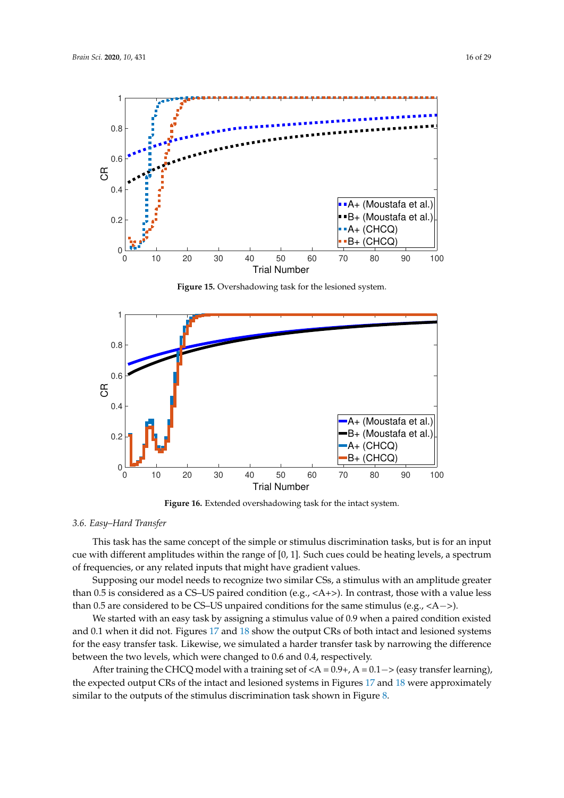<span id="page-16-0"></span>

**Figure 15.** Overshadowing task for the lesioned system.

<span id="page-16-1"></span>

**Figure 16.** Extended overshadowing task for the intact system.

## *3.6. Easy–Hard Transfer*

This task has the same concept of the simple or stimulus discrimination tasks, but is for an input cue with different amplitudes within the range of [0, 1]. Such cues could be heating levels, a spectrum of frequencies, or any related inputs that might have gradient values.

Supposing our model needs to recognize two similar CSs, a stimulus with an amplitude greater than 0.5 is considered as a CS–US paired condition (e.g.,  $\langle A+ \rangle$ ). In contrast, those with a value less than 0.5 are considered to be CS–US unpaired conditions for the same stimulus (e.g.,  $\langle A - \rangle$ ).

We started with an easy task by assigning a stimulus value of 0.9 when a paired condition existed and 0.1 when it did not. Figures [17](#page-17-0) and [18](#page-17-1) show the output CRs of both intact and lesioned systems for the easy transfer task. Likewise, we simulated a harder transfer task by narrowing the difference between the two levels, which were changed to 0.6 and 0.4, respectively.

After training the CHCQ model with a training set of  $, A = 0.1−> \(easy transfer learning\),$ the expected output CRs of the intact and lesioned systems in Figures [17](#page-17-0) and [18](#page-17-1) were approximately similar to the outputs of the stimulus discrimination task shown in Figure [8.](#page-12-1)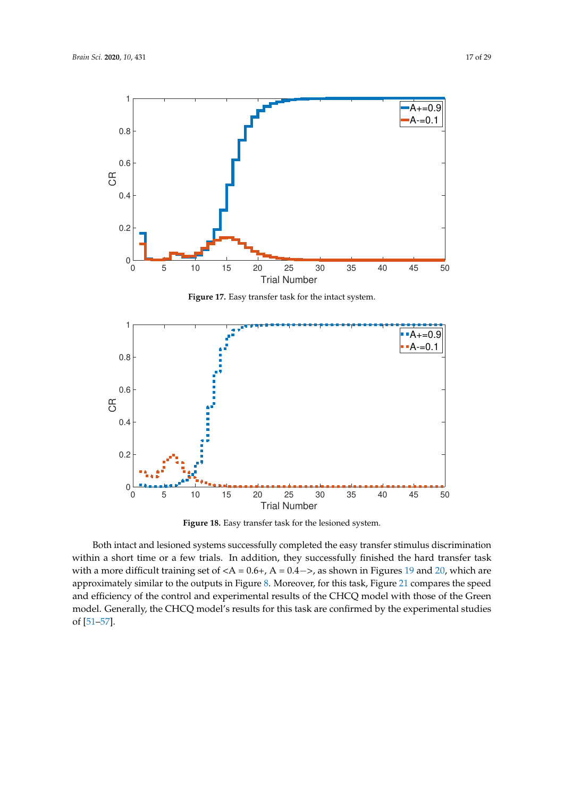<span id="page-17-0"></span>

**Figure 17.** Easy transfer task for the intact system.

<span id="page-17-1"></span>

**Figure 18.** Easy transfer task for the lesioned system.

Both intact and lesioned systems successfully completed the easy transfer stimulus discrimination within a short time or a few trials. In addition, they successfully finished the hard transfer task with a more difficult training set of  $,  \$A = 0.4->\$ , as shown in Figures \[19\]\(#page-18-0\) and \[20,\]\(#page-18-1\) which are$ approximately similar to the outputs in Figure [8.](#page-12-1) Moreover, for this task, Figure [21](#page-18-2) compares the speed and efficiency of the control and experimental results of the CHCQ model with those of the Green model. Generally, the CHCQ model's results for this task are confirmed by the experimental studies of [\[51](#page-28-13)[–57\]](#page-29-0).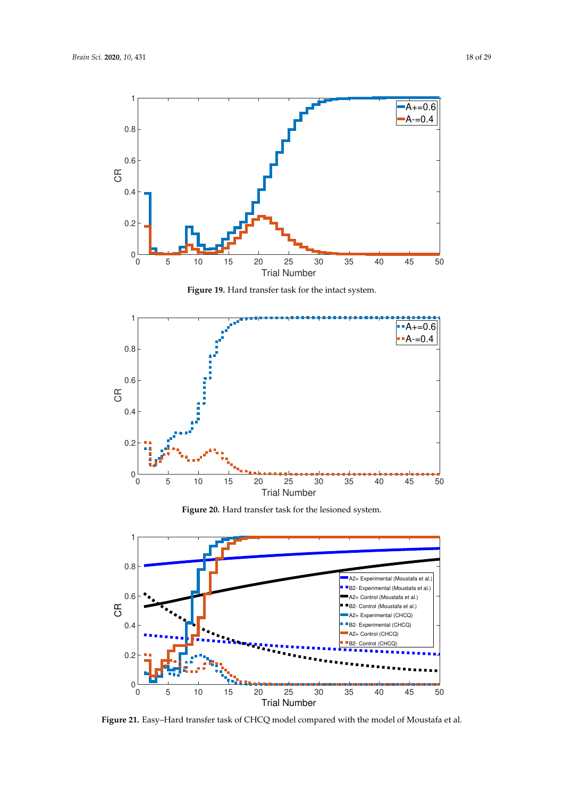<span id="page-18-0"></span>

**Figure 19.** Hard transfer task for the intact system.

<span id="page-18-1"></span>

**Figure 20.** Hard transfer task for the lesioned system.

<span id="page-18-2"></span>

**Figure 21.** Easy–Hard transfer task of CHCQ model compared with the model of Moustafa et al.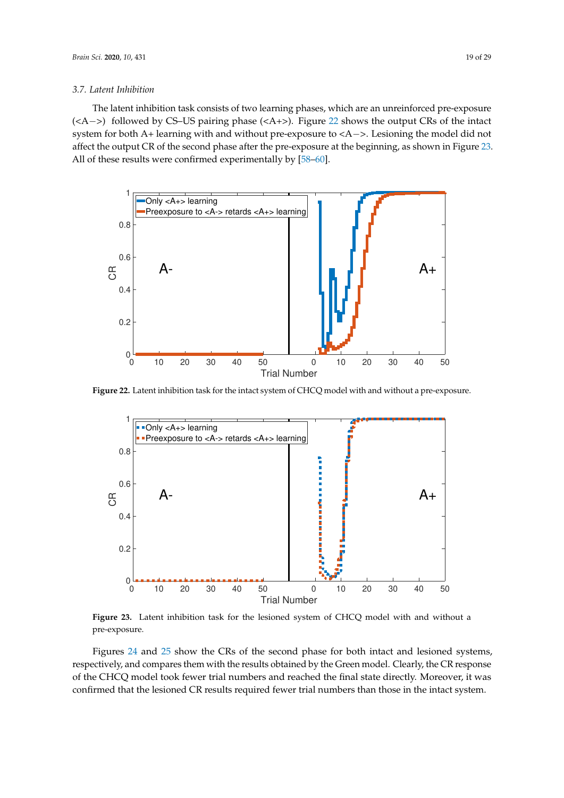## *3.7. Latent Inhibition*

The latent inhibition task consists of two learning phases, which are an unreinforced pre-exposure (<A−>) followed by CS–US pairing phase (<A+>). Figure [22](#page-19-0) shows the output CRs of the intact system for both A+ learning with and without pre-exposure to <A−>. Lesioning the model did not affect the output CR of the second phase after the pre-exposure at the beginning, as shown in Figure [23.](#page-19-1) All of these results were confirmed experimentally by [\[58–](#page-29-1)[60\]](#page-29-2).

<span id="page-19-0"></span>

<span id="page-19-1"></span>**Figure 22.** Latent inhibition task for the intact system of CHCQ model with and without a pre-exposure.



**Figure 23.** Latent inhibition task for the lesioned system of CHCQ model with and without a pre-exposure.

Figures [24](#page-20-0) and [25](#page-20-1) show the CRs of the second phase for both intact and lesioned systems, respectively, and compares them with the results obtained by the Green model. Clearly, the CR response of the CHCQ model took fewer trial numbers and reached the final state directly. Moreover, it was confirmed that the lesioned CR results required fewer trial numbers than those in the intact system.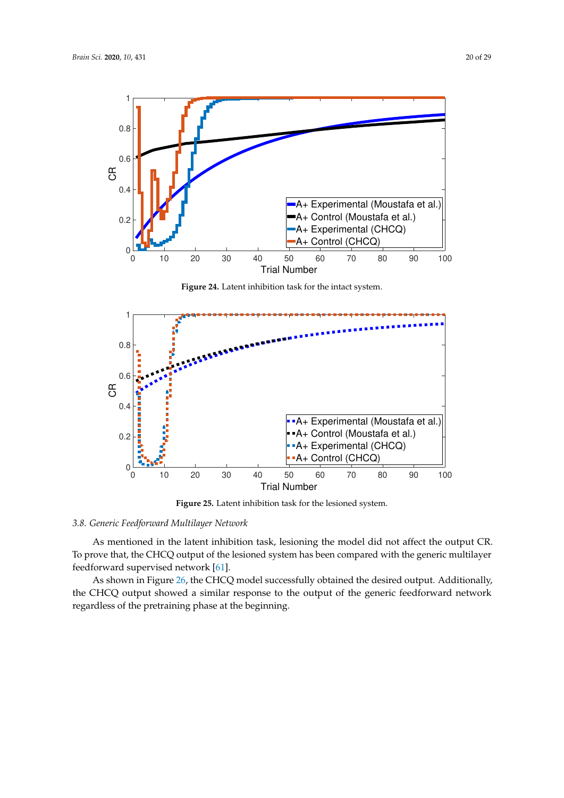<span id="page-20-0"></span>

**Figure 24.** Latent inhibition task for the intact system.

<span id="page-20-1"></span>

**Figure 25.** Latent inhibition task for the lesioned system.

## *3.8. Generic Feedforward Multilayer Network*

As mentioned in the latent inhibition task, lesioning the model did not affect the output CR. To prove that, the CHCQ output of the lesioned system has been compared with the generic multilayer feedforward supervised network [\[61\]](#page-29-3).

As shown in Figure [26,](#page-21-0) the CHCQ model successfully obtained the desired output. Additionally, the CHCQ output showed a similar response to the output of the generic feedforward network regardless of the pretraining phase at the beginning.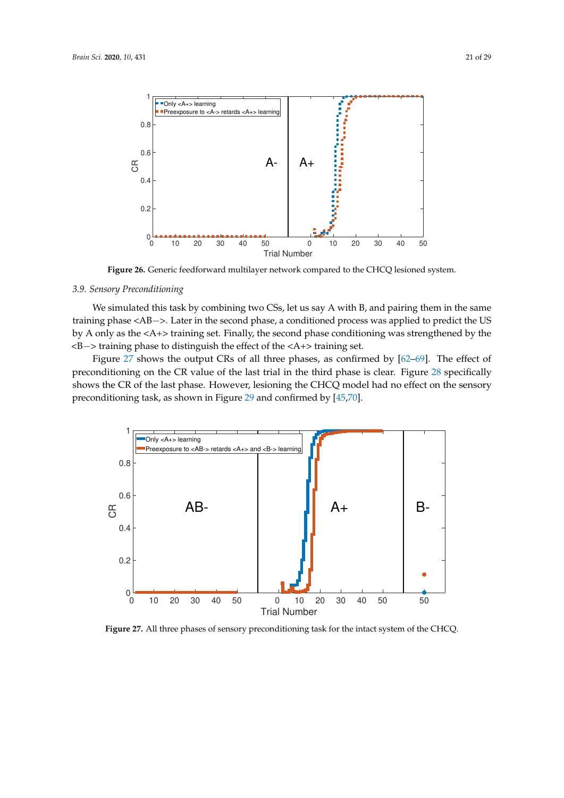<span id="page-21-0"></span>

**Figure 26.** Generic feedforward multilayer network compared to the CHCQ lesioned system.

## *3.9. Sensory Preconditioning*

We simulated this task by combining two CSs, let us say A with B, and pairing them in the same training phase <AB−>. Later in the second phase, a conditioned process was applied to predict the US by A only as the <A+> training set. Finally, the second phase conditioning was strengthened by the <B−> training phase to distinguish the effect of the <A+> training set.

Figure [27](#page-21-1) shows the output CRs of all three phases, as confirmed by [\[62](#page-29-4)[–69\]](#page-29-5). The effect of preconditioning on the CR value of the last trial in the third phase is clear. Figure [28](#page-22-0) specifically shows the CR of the last phase. However, lesioning the CHCQ model had no effect on the sensory preconditioning task, as shown in Figure [29](#page-22-1) and confirmed by [\[45](#page-28-8)[,70\]](#page-29-6).

<span id="page-21-1"></span>

**Figure 27.** All three phases of sensory preconditioning task for the intact system of the CHCQ.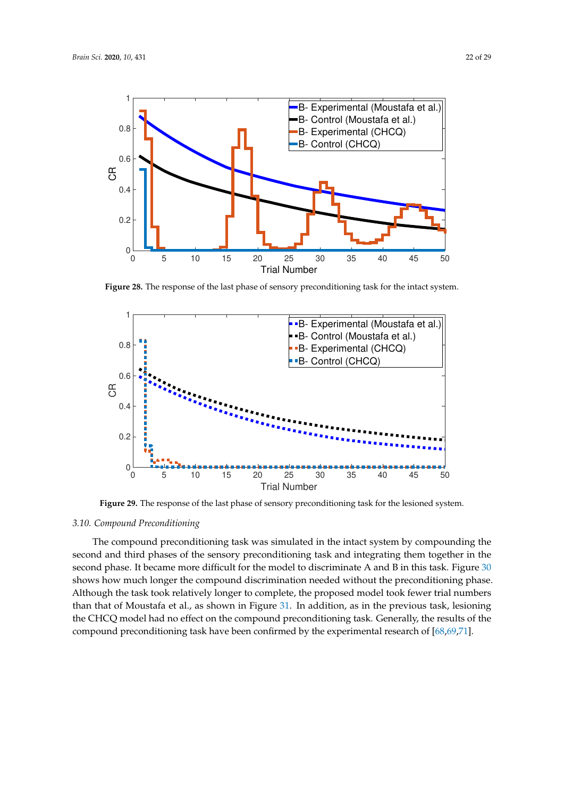<span id="page-22-0"></span>

**Figure 28.** The response of the last phase of sensory preconditioning task for the intact system.

<span id="page-22-1"></span>

**Figure 29.** The response of the last phase of sensory preconditioning task for the lesioned system.

#### *3.10. Compound Preconditioning*

The compound preconditioning task was simulated in the intact system by compounding the second and third phases of the sensory preconditioning task and integrating them together in the second phase. It became more difficult for the model to discriminate A and B in this task. Figure [30](#page-23-0) shows how much longer the compound discrimination needed without the preconditioning phase. Although the task took relatively longer to complete, the proposed model took fewer trial numbers than that of Moustafa et al., as shown in Figure [31.](#page-23-1) In addition, as in the previous task, lesioning the CHCQ model had no effect on the compound preconditioning task. Generally, the results of the compound preconditioning task have been confirmed by the experimental research of [\[68](#page-29-7)[,69](#page-29-5)[,71\]](#page-29-8).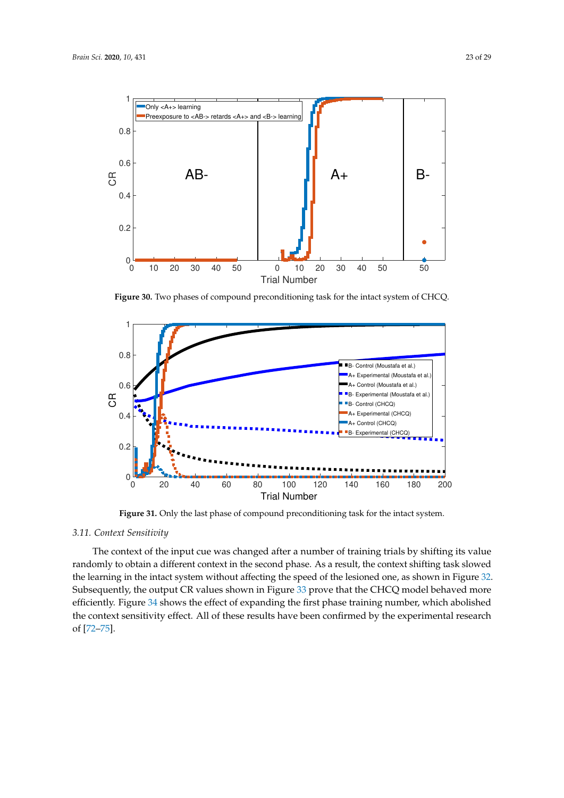<span id="page-23-0"></span>

**Figure 30.** Two phases of compound preconditioning task for the intact system of CHCQ.

<span id="page-23-1"></span>

Figure 31. Only the last phase of compound preconditioning task for the intact system.

## *3.11. Context Sensitivity*

The context of the input cue was changed after a number of training trials by shifting its value randomly to obtain a different context in the second phase. As a result, the context shifting task slowed the learning in the intact system without affecting the speed of the lesioned one, as shown in Figure [32.](#page-24-0) Subsequently, the output CR values shown in Figure [33](#page-24-1) prove that the CHCQ model behaved more efficiently. Figure [34](#page-24-2) shows the effect of expanding the first phase training number, which abolished the context sensitivity effect. All of these results have been confirmed by the experimental research of [\[72](#page-29-9)[–75\]](#page-29-10).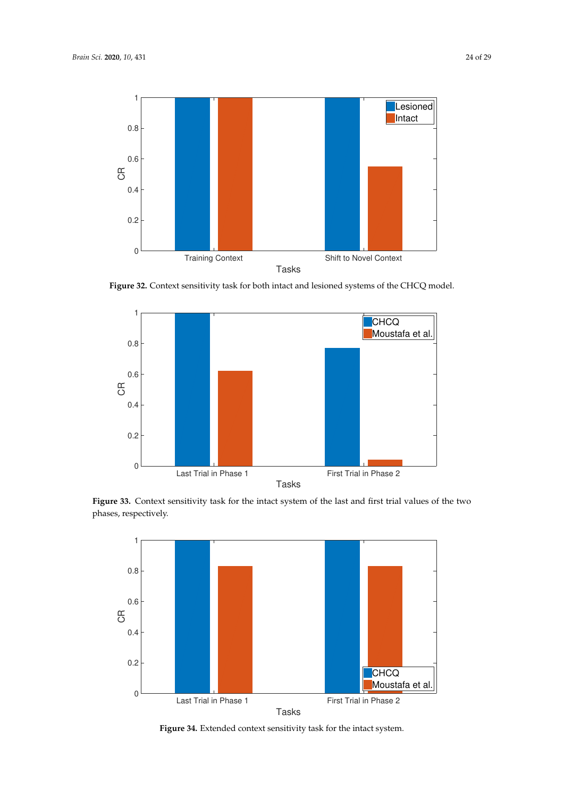<span id="page-24-0"></span>

**Figure 32.** Context sensitivity task for both intact and lesioned systems of the CHCQ model.

<span id="page-24-1"></span>

<span id="page-24-2"></span>**Figure 33.** Context sensitivity task for the intact system of the last and first trial values of the two phases, respectively.



**Figure 34.** Extended context sensitivity task for the intact system.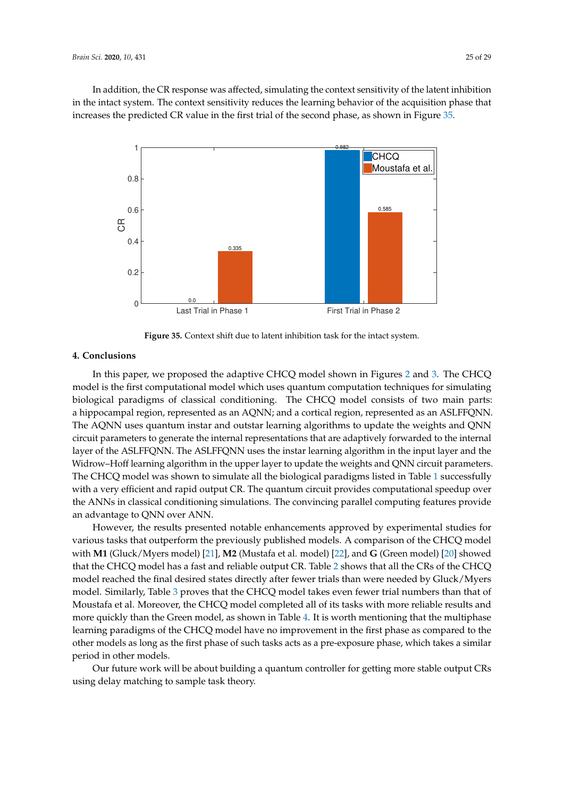In addition, the CR response was affected, simulating the context sensitivity of the latent inhibition in the intact system. The context sensitivity reduces the learning behavior of the acquisition phase that increases the predicted CR value in the first trial of the second phase, as shown in Figure [35.](#page-25-0)

<span id="page-25-0"></span>

**Figure 35.** Context shift due to latent inhibition task for the intact system.

## **4. Conclusions**

In this paper, we proposed the adaptive CHCQ model shown in Figures [2](#page-5-0) and [3.](#page-6-0) The CHCQ model is the first computational model which uses quantum computation techniques for simulating biological paradigms of classical conditioning. The CHCQ model consists of two main parts: a hippocampal region, represented as an AQNN; and a cortical region, represented as an ASLFFQNN. The AQNN uses quantum instar and outstar learning algorithms to update the weights and QNN circuit parameters to generate the internal representations that are adaptively forwarded to the internal layer of the ASLFFQNN. The ASLFFQNN uses the instar learning algorithm in the input layer and the Widrow–Hoff learning algorithm in the upper layer to update the weights and QNN circuit parameters. The CHCQ model was shown to simulate all the biological paradigms listed in Table [1](#page-3-0) successfully with a very efficient and rapid output CR. The quantum circuit provides computational speedup over the ANNs in classical conditioning simulations. The convincing parallel computing features provide an advantage to QNN over ANN.

However, the results presented notable enhancements approved by experimental studies for various tasks that outperform the previously published models. A comparison of the CHCQ model with **M1** (Gluck/Myers model) [\[21\]](#page-27-8), **M2** (Mustafa et al. model) [\[22\]](#page-27-9), and **G** (Green model) [\[20\]](#page-27-7) showed that the CHCQ model has a fast and reliable output CR. Table [2](#page-10-0) shows that all the CRs of the CHCQ model reached the final desired states directly after fewer trials than were needed by Gluck/Myers model. Similarly, Table [3](#page-10-1) proves that the CHCQ model takes even fewer trial numbers than that of Moustafa et al. Moreover, the CHCQ model completed all of its tasks with more reliable results and more quickly than the Green model, as shown in Table [4.](#page-11-0) It is worth mentioning that the multiphase learning paradigms of the CHCQ model have no improvement in the first phase as compared to the other models as long as the first phase of such tasks acts as a pre-exposure phase, which takes a similar period in other models.

Our future work will be about building a quantum controller for getting more stable output CRs using delay matching to sample task theory.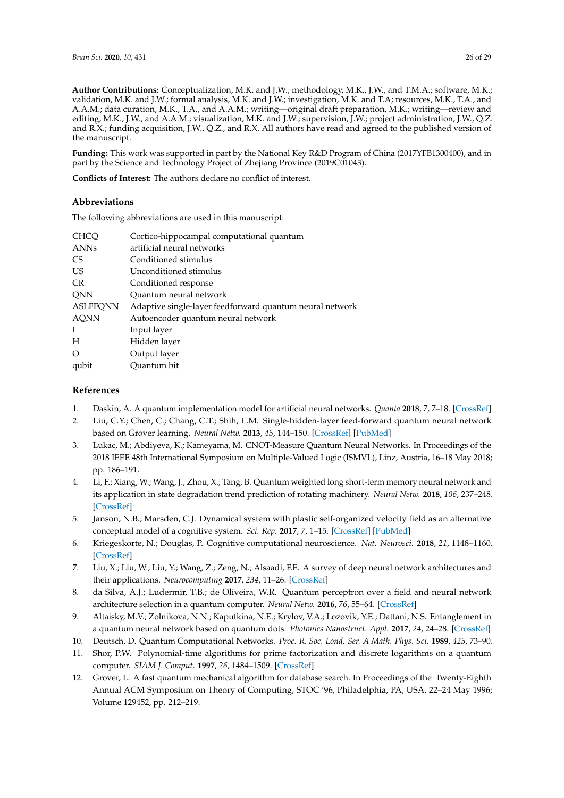**Author Contributions:** Conceptualization, M.K. and J.W.; methodology, M.K., J.W., and T.M.A.; software, M.K.; validation, M.K. and J.W.; formal analysis, M.K. and J.W.; investigation, M.K. and T.A; resources, M.K., T.A., and A.A.M.; data curation, M.K., T.A., and A.A.M.; writing—original draft preparation, M.K.; writing—review and editing, M.K., J.W., and A.A.M.; visualization, M.K. and J.W.; supervision, J.W.; project administration, J.W., Q.Z. and R.X.; funding acquisition, J.W., Q.Z., and R.X. All authors have read and agreed to the published version of the manuscript.

**Funding:** This work was supported in part by the National Key R&D Program of China (2017YFB1300400), and in part by the Science and Technology Project of Zhejiang Province (2019C01043).

**Conflicts of Interest:** The authors declare no conflict of interest.

## **Abbreviations**

The following abbreviations are used in this manuscript:

| <b>CHCQ</b>     | Cortico-hippocampal computational quantum                |
|-----------------|----------------------------------------------------------|
| <b>ANNs</b>     | artificial neural networks                               |
| CS.             | Conditioned stimulus                                     |
| <b>US</b>       | Unconditioned stimulus                                   |
| CR.             | Conditioned response                                     |
| <b>QNN</b>      | Quantum neural network                                   |
| <b>ASLFFQNN</b> | Adaptive single-layer feedforward quantum neural network |
| <b>AQNN</b>     | Autoencoder quantum neural network                       |
| I               | Input layer                                              |
| H               | Hidden layer                                             |
| $\Omega$        | Output layer                                             |
| qubit           | Ouantum bit                                              |

## **References**

- <span id="page-26-0"></span>1. Daskin, A. A quantum implementation model for artificial neural networks. *Quanta* **2018**, *7*, 7–18. [\[CrossRef\]](http://dx.doi.org/10.12743/quanta.v7i1.65)
- <span id="page-26-1"></span>2. Liu, C.Y.; Chen, C.; Chang, C.T.; Shih, L.M. Single-hidden-layer feed-forward quantum neural network based on Grover learning. *Neural Netw.* **2013**, *45*, 144–150. [\[CrossRef\]](http://dx.doi.org/10.1016/j.neunet.2013.02.012) [\[PubMed\]](http://www.ncbi.nlm.nih.gov/pubmed/23545155)
- <span id="page-26-2"></span>3. Lukac, M.; Abdiyeva, K.; Kameyama, M. CNOT-Measure Quantum Neural Networks. In Proceedings of the 2018 IEEE 48th International Symposium on Multiple-Valued Logic (ISMVL), Linz, Austria, 16–18 May 2018; pp. 186–191.
- <span id="page-26-3"></span>4. Li, F.; Xiang, W.; Wang, J.; Zhou, X.; Tang, B. Quantum weighted long short-term memory neural network and its application in state degradation trend prediction of rotating machinery. *Neural Netw.* **2018**, *106*, 237–248. [\[CrossRef\]](http://dx.doi.org/10.1016/j.neunet.2018.07.004)
- <span id="page-26-4"></span>5. Janson, N.B.; Marsden, C.J. Dynamical system with plastic self-organized velocity field as an alternative conceptual model of a cognitive system. *Sci. Rep.* **2017**, *7*, 1–15. [\[CrossRef\]](http://dx.doi.org/10.1038/s41598-017-16994-y) [\[PubMed\]](http://www.ncbi.nlm.nih.gov/pubmed/29208976)
- <span id="page-26-5"></span>6. Kriegeskorte, N.; Douglas, P. Cognitive computational neuroscience. *Nat. Neurosci.* **2018**, *21*, 1148–1160. [\[CrossRef\]](http://dx.doi.org/10.1038/s41593-018-0210-5)
- <span id="page-26-6"></span>7. Liu, X.; Liu, W.; Liu, Y.; Wang, Z.; Zeng, N.; Alsaadi, F.E. A survey of deep neural network architectures and their applications. *Neurocomputing* **2017**, *234*, 11–26. [\[CrossRef\]](http://dx.doi.org/10.1016/j.neucom.2016.12.038)
- <span id="page-26-7"></span>8. da Silva, A.J.; Ludermir, T.B.; de Oliveira, W.R. Quantum perceptron over a field and neural network architecture selection in a quantum computer. *Neural Netw.* **2016**, *76*, 55–64. [\[CrossRef\]](http://dx.doi.org/10.1016/j.neunet.2016.01.002)
- <span id="page-26-8"></span>9. Altaisky, M.V.; Zolnikova, N.N.; Kaputkina, N.E.; Krylov, V.A.; Lozovik, Y.E.; Dattani, N.S. Entanglement in a quantum neural network based on quantum dots. *Photonics Nanostruct. Appl.* **2017**, *24*, 24–28. [\[CrossRef\]](http://dx.doi.org/10.1016/j.photonics.2017.02.001)
- <span id="page-26-9"></span>10. Deutsch, D. Quantum Computational Networks. *Proc. R. Soc. Lond. Ser. A Math. Phys. Sci.* **1989**, *425*, 73–90.
- <span id="page-26-10"></span>11. Shor, P.W. Polynomial-time algorithms for prime factorization and discrete logarithms on a quantum computer. *SIAM J. Comput.* **1997**, *26*, 1484–1509. [\[CrossRef\]](http://dx.doi.org/10.1137/S0097539795293172)
- <span id="page-26-11"></span>12. Grover, L. A fast quantum mechanical algorithm for database search. In Proceedings of the Twenty-Eighth Annual ACM Symposium on Theory of Computing, STOC '96, Philadelphia, PA, USA, 22–24 May 1996; Volume 129452, pp. 212–219.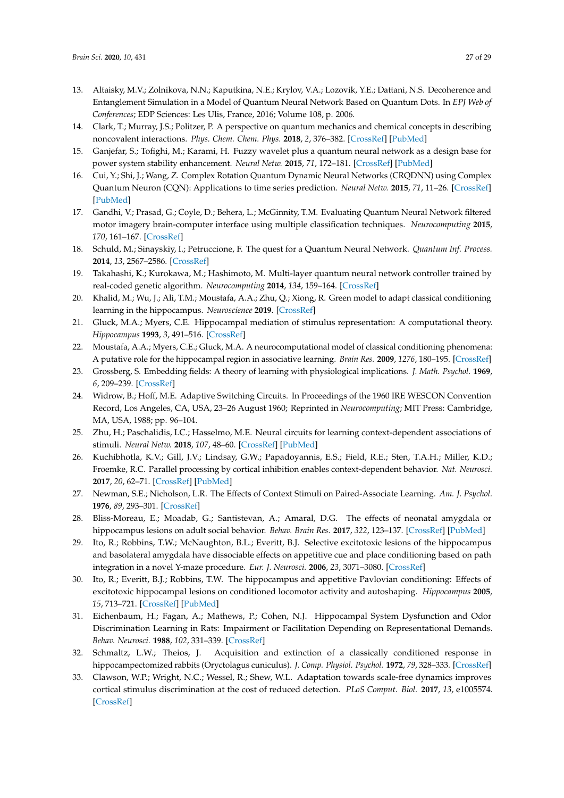- <span id="page-27-0"></span>13. Altaisky, M.V.; Zolnikova, N.N.; Kaputkina, N.E.; Krylov, V.A.; Lozovik, Y.E.; Dattani, N.S. Decoherence and Entanglement Simulation in a Model of Quantum Neural Network Based on Quantum Dots. In *EPJ Web of Conferences*; EDP Sciences: Les Ulis, France, 2016; Volume 108, p. 2006.
- <span id="page-27-1"></span>14. Clark, T.; Murray, J.S.; Politzer, P. A perspective on quantum mechanics and chemical concepts in describing noncovalent interactions. *Phys. Chem. Chem. Phys.* **2018**, *2*, 376–382. [\[CrossRef\]](http://dx.doi.org/10.1039/C8CP06786D) [\[PubMed\]](http://www.ncbi.nlm.nih.gov/pubmed/30484786)
- <span id="page-27-2"></span>15. Ganjefar, S.; Tofighi, M.; Karami, H. Fuzzy wavelet plus a quantum neural network as a design base for power system stability enhancement. *Neural Netw.* **2015**, *71*, 172–181. [\[CrossRef\]](http://dx.doi.org/10.1016/j.neunet.2015.07.010) [\[PubMed\]](http://www.ncbi.nlm.nih.gov/pubmed/26363960)
- <span id="page-27-3"></span>16. Cui, Y.; Shi, J.; Wang, Z. Complex Rotation Quantum Dynamic Neural Networks (CRQDNN) using Complex Quantum Neuron (CQN): Applications to time series prediction. *Neural Netw.* **2015**, *71*, 11–26. [\[CrossRef\]](http://dx.doi.org/10.1016/j.neunet.2015.07.013) [\[PubMed\]](http://www.ncbi.nlm.nih.gov/pubmed/26277609)
- <span id="page-27-4"></span>17. Gandhi, V.; Prasad, G.; Coyle, D.; Behera, L.; McGinnity, T.M. Evaluating Quantum Neural Network filtered motor imagery brain-computer interface using multiple classification techniques. *Neurocomputing* **2015**, *170*, 161–167. [\[CrossRef\]](http://dx.doi.org/10.1016/j.neucom.2014.12.114)
- <span id="page-27-5"></span>18. Schuld, M.; Sinayskiy, I.; Petruccione, F. The quest for a Quantum Neural Network. *Quantum Inf. Process.* **2014**, *13*, 2567–2586. [\[CrossRef\]](http://dx.doi.org/10.1007/s11128-014-0809-8)
- <span id="page-27-6"></span>19. Takahashi, K.; Kurokawa, M.; Hashimoto, M. Multi-layer quantum neural network controller trained by real-coded genetic algorithm. *Neurocomputing* **2014**, *134*, 159–164. [\[CrossRef\]](http://dx.doi.org/10.1016/j.neucom.2012.12.073)
- <span id="page-27-7"></span>20. Khalid, M.; Wu, J.; Ali, T.M.; Moustafa, A.A.; Zhu, Q.; Xiong, R. Green model to adapt classical conditioning learning in the hippocampus. *Neuroscience* **2019**. [\[CrossRef\]](http://dx.doi.org/10.1016/j.neuroscience.2019.11.021)
- <span id="page-27-8"></span>21. Gluck, M.A.; Myers, C.E. Hippocampal mediation of stimulus representation: A computational theory. *Hippocampus* **1993**, *3*, 491–516. [\[CrossRef\]](http://dx.doi.org/10.1002/hipo.450030410)
- <span id="page-27-9"></span>22. Moustafa, A.A.; Myers, C.E.; Gluck, M.A. A neurocomputational model of classical conditioning phenomena: A putative role for the hippocampal region in associative learning. *Brain Res.* **2009**, *1276*, 180–195. [\[CrossRef\]](http://dx.doi.org/10.1016/j.brainres.2009.04.020)
- <span id="page-27-10"></span>23. Grossberg, S. Embedding fields: A theory of learning with physiological implications. *J. Math. Psychol.* **1969**, *6*, 209–239. [\[CrossRef\]](http://dx.doi.org/10.1016/0022-2496(69)90003-0)
- <span id="page-27-11"></span>24. Widrow, B.; Hoff, M.E. Adaptive Switching Circuits. In Proceedings of the 1960 IRE WESCON Convention Record, Los Angeles, CA, USA, 23–26 August 1960; Reprinted in *Neurocomputing*; MIT Press: Cambridge, MA, USA, 1988; pp. 96–104.
- <span id="page-27-12"></span>25. Zhu, H.; Paschalidis, I.C.; Hasselmo, M.E. Neural circuits for learning context-dependent associations of stimuli. *Neural Netw.* **2018**, *107*, 48–60. [\[CrossRef\]](http://dx.doi.org/10.1016/j.neunet.2018.07.018) [\[PubMed\]](http://www.ncbi.nlm.nih.gov/pubmed/30177226)
- 26. Kuchibhotla, K.V.; Gill, J.V.; Lindsay, G.W.; Papadoyannis, E.S.; Field, R.E.; Sten, T.A.H.; Miller, K.D.; Froemke, R.C. Parallel processing by cortical inhibition enables context-dependent behavior. *Nat. Neurosci.* **2017**, *20*, 62–71. [\[CrossRef\]](http://dx.doi.org/10.1038/nn.4436) [\[PubMed\]](http://www.ncbi.nlm.nih.gov/pubmed/27798631)
- <span id="page-27-13"></span>27. Newman, S.E.; Nicholson, L.R. The Effects of Context Stimuli on Paired-Associate Learning. *Am. J. Psychol.* **1976**, *89*, 293–301. [\[CrossRef\]](http://dx.doi.org/10.2307/1421412)
- <span id="page-27-14"></span>28. Bliss-Moreau, E.; Moadab, G.; Santistevan, A.; Amaral, D.G. The effects of neonatal amygdala or hippocampus lesions on adult social behavior. *Behav. Brain Res.* **2017**, *322*, 123–137. [\[CrossRef\]](http://dx.doi.org/10.1016/j.bbr.2016.11.052) [\[PubMed\]](http://www.ncbi.nlm.nih.gov/pubmed/28017854)
- 29. Ito, R.; Robbins, T.W.; McNaughton, B.L.; Everitt, B.J. Selective excitotoxic lesions of the hippocampus and basolateral amygdala have dissociable effects on appetitive cue and place conditioning based on path integration in a novel Y-maze procedure. *Eur. J. Neurosci.* **2006**, *23*, 3071–3080. [\[CrossRef\]](http://dx.doi.org/10.1111/j.1460-9568.2006.04883.x)
- 30. Ito, R.; Everitt, B.J.; Robbins, T.W. The hippocampus and appetitive Pavlovian conditioning: Effects of excitotoxic hippocampal lesions on conditioned locomotor activity and autoshaping. *Hippocampus* **2005**, *15*, 713–721. [\[CrossRef\]](http://dx.doi.org/10.1002/hipo.20094) [\[PubMed\]](http://www.ncbi.nlm.nih.gov/pubmed/15906393)
- 31. Eichenbaum, H.; Fagan, A.; Mathews, P.; Cohen, N.J. Hippocampal System Dysfunction and Odor Discrimination Learning in Rats: Impairment or Facilitation Depending on Representational Demands. *Behav. Neurosci.* **1988**, *102*, 331–339. [\[CrossRef\]](http://dx.doi.org/10.1037/0735-7044.102.3.331)
- <span id="page-27-15"></span>32. Schmaltz, L.W.; Theios, J. Acquisition and extinction of a classically conditioned response in hippocampectomized rabbits (Oryctolagus cuniculus). *J. Comp. Physiol. Psychol.* **1972**, *79*, 328–333. [\[CrossRef\]](http://dx.doi.org/10.1037/h0032531)
- <span id="page-27-16"></span>33. Clawson, W.P.; Wright, N.C.; Wessel, R.; Shew, W.L. Adaptation towards scale-free dynamics improves cortical stimulus discrimination at the cost of reduced detection. *PLoS Comput. Biol.* **2017**, *13*, e1005574. [\[CrossRef\]](http://dx.doi.org/10.1371/journal.pcbi.1005574)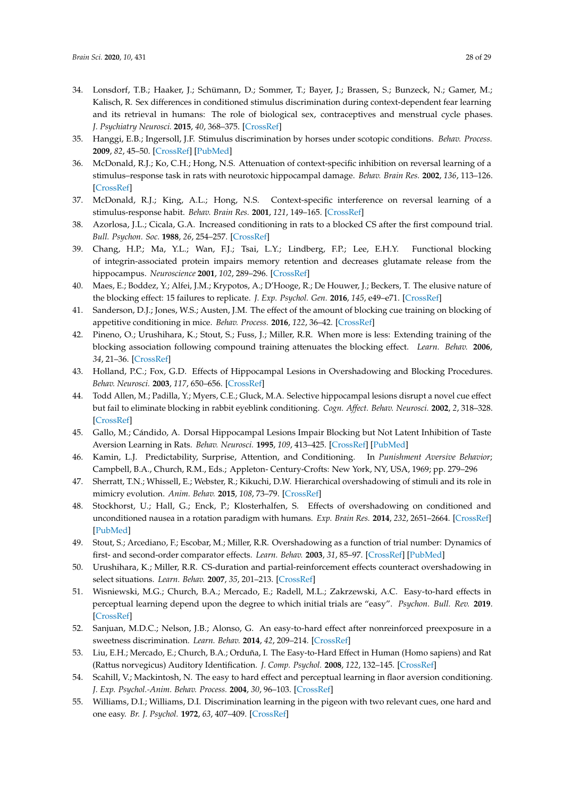- 34. Lonsdorf, T.B.; Haaker, J.; Schümann, D.; Sommer, T.; Bayer, J.; Brassen, S.; Bunzeck, N.; Gamer, M.; Kalisch, R. Sex differences in conditioned stimulus discrimination during context-dependent fear learning and its retrieval in humans: The role of biological sex, contraceptives and menstrual cycle phases. *J. Psychiatry Neurosci.* **2015**, *40*, 368–375. [\[CrossRef\]](http://dx.doi.org/10.1503/jpn.140336)
- <span id="page-28-0"></span>35. Hanggi, E.B.; Ingersoll, J.F. Stimulus discrimination by horses under scotopic conditions. *Behav. Process.* **2009**, *82*, 45–50. [\[CrossRef\]](http://dx.doi.org/10.1016/j.beproc.2009.04.009) [\[PubMed\]](http://www.ncbi.nlm.nih.gov/pubmed/19389464)
- <span id="page-28-1"></span>36. McDonald, R.J.; Ko, C.H.; Hong, N.S. Attenuation of context-specific inhibition on reversal learning of a stimulus–response task in rats with neurotoxic hippocampal damage. *Behav. Brain Res.* **2002**, *136*, 113–126. [\[CrossRef\]](http://dx.doi.org/10.1016/S0166-4328(02)00104-3)
- <span id="page-28-2"></span>37. McDonald, R.J.; King, A.L.; Hong, N.S. Context-specific interference on reversal learning of a stimulus-response habit. *Behav. Brain Res.* **2001**, *121*, 149–165. [\[CrossRef\]](http://dx.doi.org/10.1016/S0166-4328(01)00160-7)
- <span id="page-28-3"></span>38. Azorlosa, J.L.; Cicala, G.A. Increased conditioning in rats to a blocked CS after the first compound trial. *Bull. Psychon. Soc.* **1988**, *26*, 254–257. [\[CrossRef\]](http://dx.doi.org/10.3758/BF03337303)
- 39. Chang, H.P.; Ma, Y.L.; Wan, F.J.; Tsai, L.Y.; Lindberg, F.P.; Lee, E.H.Y. Functional blocking of integrin-associated protein impairs memory retention and decreases glutamate release from the hippocampus. *Neuroscience* **2001**, *102*, 289–296. [\[CrossRef\]](http://dx.doi.org/10.1016/S0306-4522(00)00478-4)
- <span id="page-28-4"></span>40. Maes, E.; Boddez, Y.; Alfei, J.M.; Krypotos, A.; D'Hooge, R.; De Houwer, J.; Beckers, T. The elusive nature of the blocking effect: 15 failures to replicate. *J. Exp. Psychol. Gen.* **2016**, *145*, e49–e71. [\[CrossRef\]](http://dx.doi.org/10.1037/xge0000200)
- <span id="page-28-5"></span>41. Sanderson, D.J.; Jones, W.S.; Austen, J.M. The effect of the amount of blocking cue training on blocking of appetitive conditioning in mice. *Behav. Process.* **2016**, *122*, 36–42. [\[CrossRef\]](http://dx.doi.org/10.1016/j.beproc.2015.11.007)
- <span id="page-28-6"></span>42. Pineno, O.; Urushihara, K.; Stout, S.; Fuss, J.; Miller, R.R. When more is less: Extending training of the blocking association following compound training attenuates the blocking effect. *Learn. Behav.* **2006**, *34*, 21–36. [\[CrossRef\]](http://dx.doi.org/10.3758/BF03192868)
- <span id="page-28-7"></span>43. Holland, P.C.; Fox, G.D. Effects of Hippocampal Lesions in Overshadowing and Blocking Procedures. *Behav. Neurosci.* **2003**, *117*, 650–656. [\[CrossRef\]](http://dx.doi.org/10.1037/0735-7044.117.3.650)
- 44. Todd Allen, M.; Padilla, Y.; Myers, C.E.; Gluck, M.A. Selective hippocampal lesions disrupt a novel cue effect but fail to eliminate blocking in rabbit eyeblink conditioning. *Cogn. Affect. Behav. Neurosci.* **2002**, *2*, 318–328. [\[CrossRef\]](http://dx.doi.org/10.3758/CABN.2.4.318)
- <span id="page-28-8"></span>45. Gallo, M.; Cándido, A. Dorsal Hippocampal Lesions Impair Blocking but Not Latent Inhibition of Taste Aversion Learning in Rats. *Behav. Neurosci.* **1995**, *109*, 413–425. [\[CrossRef\]](http://dx.doi.org/10.1037/0735-7044.109.3.413) [\[PubMed\]](http://www.ncbi.nlm.nih.gov/pubmed/7662152)
- <span id="page-28-9"></span>46. Kamin, L.J. Predictability, Surprise, Attention, and Conditioning. In *Punishment Aversive Behavior*; Campbell, B.A., Church, R.M., Eds.; Appleton- Century-Crofts: New York, NY, USA, 1969; pp. 279–296
- 47. Sherratt, T.N.; Whissell, E.; Webster, R.; Kikuchi, D.W. Hierarchical overshadowing of stimuli and its role in mimicry evolution. *Anim. Behav.* **2015**, *108*, 73–79. [\[CrossRef\]](http://dx.doi.org/10.1016/j.anbehav.2015.07.011)
- <span id="page-28-10"></span>48. Stockhorst, U.; Hall, G.; Enck, P.; Klosterhalfen, S. Effects of overshadowing on conditioned and unconditioned nausea in a rotation paradigm with humans. *Exp. Brain Res.* **2014**, *232*, 2651–2664. [\[CrossRef\]](http://dx.doi.org/10.1007/s00221-014-3998-6) [\[PubMed\]](http://www.ncbi.nlm.nih.gov/pubmed/24954556)
- <span id="page-28-11"></span>49. Stout, S.; Arcediano, F.; Escobar, M.; Miller, R.R. Overshadowing as a function of trial number: Dynamics of first- and second-order comparator effects. *Learn. Behav.* **2003**, *31*, 85–97. [\[CrossRef\]](http://dx.doi.org/10.3758/BF03195972) [\[PubMed\]](http://www.ncbi.nlm.nih.gov/pubmed/18450071)
- <span id="page-28-12"></span>50. Urushihara, K.; Miller, R.R. CS-duration and partial-reinforcement effects counteract overshadowing in select situations. *Learn. Behav.* **2007**, *35*, 201–213. [\[CrossRef\]](http://dx.doi.org/10.3758/BF03206426)
- <span id="page-28-13"></span>51. Wisniewski, M.G.; Church, B.A.; Mercado, E.; Radell, M.L.; Zakrzewski, A.C. Easy-to-hard effects in perceptual learning depend upon the degree to which initial trials are "easy". *Psychon. Bull. Rev.* **2019**. [\[CrossRef\]](http://dx.doi.org/10.3758/s13423-019-01627-4)
- 52. Sanjuan, M.D.C.; Nelson, J.B.; Alonso, G. An easy-to-hard effect after nonreinforced preexposure in a sweetness discrimination. *Learn. Behav.* **2014**, *42*, 209–214. [\[CrossRef\]](http://dx.doi.org/10.3758/s13420-014-0139-9)
- 53. Liu, E.H.; Mercado, E.; Church, B.A.; Orduña, I. The Easy-to-Hard Effect in Human (Homo sapiens) and Rat (Rattus norvegicus) Auditory Identification. *J. Comp. Psychol.* **2008**, *122*, 132–145. [\[CrossRef\]](http://dx.doi.org/10.1037/0735-7036.122.2.132)
- 54. Scahill, V.; Mackintosh, N. The easy to hard effect and perceptual learning in flaor aversion conditioning. *J. Exp. Psychol.-Anim. Behav. Process.* **2004**, *30*, 96–103. [\[CrossRef\]](http://dx.doi.org/10.1037/0097-7403.30.2.96)
- 55. Williams, D.I.; Williams, D.I. Discrimination learning in the pigeon with two relevant cues, one hard and one easy. *Br. J. Psychol.* **1972**, *63*, 407–409. [\[CrossRef\]](http://dx.doi.org/10.1111/j.2044-8295.1972.tb01289.x)